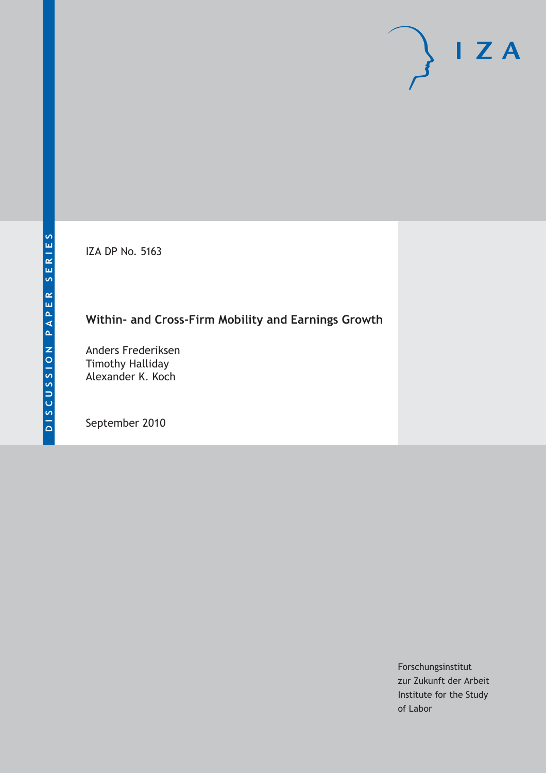IZA DP No. 5163

# **Within- and Cross-Firm Mobility and Earnings Growth**

Anders Frederiksen Timothy Halliday Alexander K. Koch

September 2010

Forschungsinstitut zur Zukunft der Arbeit Institute for the Study of Labor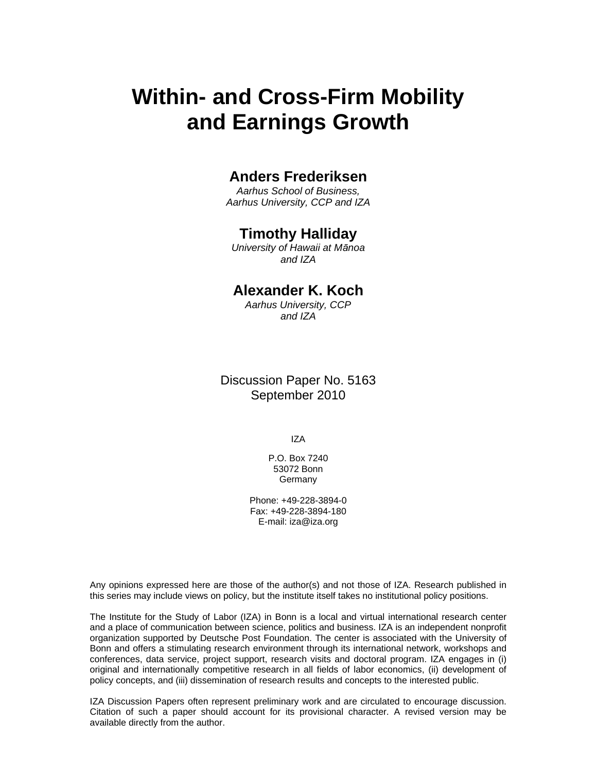# **Within- and Cross-Firm Mobility and Earnings Growth**

### **Anders Frederiksen**

*Aarhus School of Business, Aarhus University, CCP and IZA* 

#### **Timothy Halliday**

*University of Hawaii at Mānoa and IZA* 

### **Alexander K. Koch**

*Aarhus University, CCP and IZA* 

Discussion Paper No. 5163 September 2010

IZA

P.O. Box 7240 53072 Bonn **Germany** 

Phone: +49-228-3894-0 Fax: +49-228-3894-180 E-mail: iza@iza.org

Any opinions expressed here are those of the author(s) and not those of IZA. Research published in this series may include views on policy, but the institute itself takes no institutional policy positions.

The Institute for the Study of Labor (IZA) in Bonn is a local and virtual international research center and a place of communication between science, politics and business. IZA is an independent nonprofit organization supported by Deutsche Post Foundation. The center is associated with the University of Bonn and offers a stimulating research environment through its international network, workshops and conferences, data service, project support, research visits and doctoral program. IZA engages in (i) original and internationally competitive research in all fields of labor economics, (ii) development of policy concepts, and (iii) dissemination of research results and concepts to the interested public.

IZA Discussion Papers often represent preliminary work and are circulated to encourage discussion. Citation of such a paper should account for its provisional character. A revised version may be available directly from the author.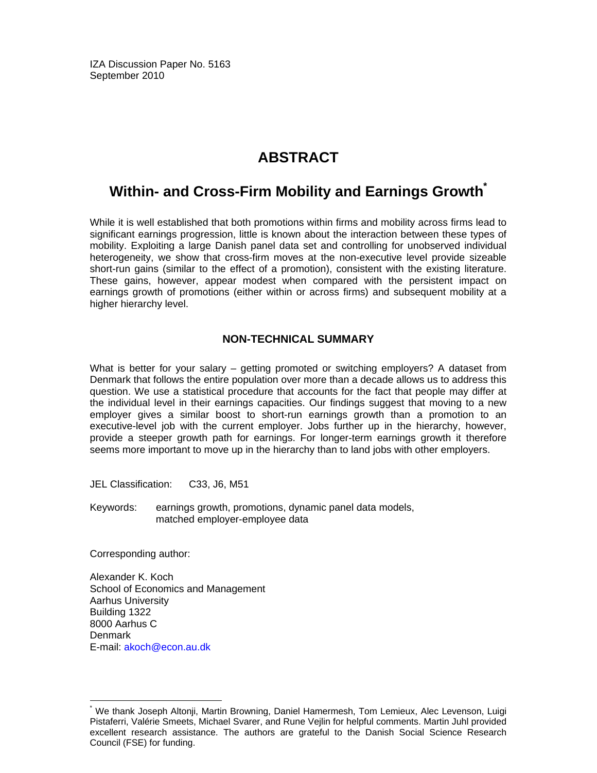IZA Discussion Paper No. 5163 September 2010

# **ABSTRACT**

### **Within- and Cross-Firm Mobility and Earnings Growth\***

While it is well established that both promotions within firms and mobility across firms lead to significant earnings progression, little is known about the interaction between these types of mobility. Exploiting a large Danish panel data set and controlling for unobserved individual heterogeneity, we show that cross-firm moves at the non-executive level provide sizeable short-run gains (similar to the effect of a promotion), consistent with the existing literature. These gains, however, appear modest when compared with the persistent impact on earnings growth of promotions (either within or across firms) and subsequent mobility at a higher hierarchy level.

#### **NON-TECHNICAL SUMMARY**

What is better for your salary – getting promoted or switching employers? A dataset from Denmark that follows the entire population over more than a decade allows us to address this question. We use a statistical procedure that accounts for the fact that people may differ at the individual level in their earnings capacities. Our findings suggest that moving to a new employer gives a similar boost to short-run earnings growth than a promotion to an executive-level job with the current employer. Jobs further up in the hierarchy, however, provide a steeper growth path for earnings. For longer-term earnings growth it therefore seems more important to move up in the hierarchy than to land jobs with other employers.

JEL Classification: C33, J6, M51

Keywords: earnings growth, promotions, dynamic panel data models, matched employer-employee data

Corresponding author:

-

Alexander K. Koch School of Economics and Management Aarhus University Building 1322 8000 Aarhus C Denmark E-mail: akoch@econ.au.dk

<sup>\*</sup> We thank Joseph Altonji, Martin Browning, Daniel Hamermesh, Tom Lemieux, Alec Levenson, Luigi Pistaferri, Valérie Smeets, Michael Svarer, and Rune Vejlin for helpful comments. Martin Juhl provided excellent research assistance. The authors are grateful to the Danish Social Science Research Council (FSE) for funding.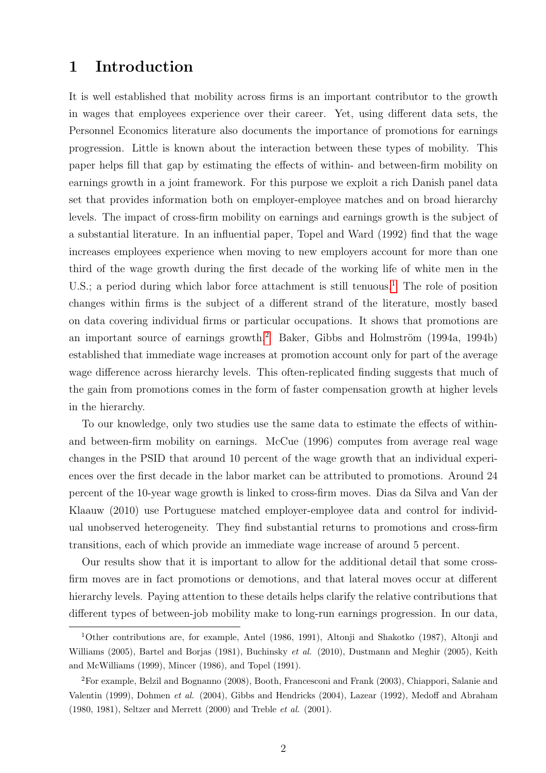## 1 Introduction

It is well established that mobility across firms is an important contributor to the growth in wages that employees experience over their career. Yet, using different data sets, the Personnel Economics literature also documents the importance of promotions for earnings progression. Little is known about the interaction between these types of mobility. This paper helps fill that gap by estimating the effects of within- and between-firm mobility on earnings growth in a joint framework. For this purpose we exploit a rich Danish panel data set that provides information both on employer-employee matches and on broad hierarchy levels. The impact of cross-firm mobility on earnings and earnings growth is the subject of a substantial literature. In an influential paper, Topel and Ward (1992) find that the wage increases employees experience when moving to new employers account for more than one third of the wage growth during the first decade of the working life of white men in the U.S.; a period during which labor force attachment is still tenuous.<sup>[1](#page-3-0)</sup> The role of position changes within firms is the subject of a different strand of the literature, mostly based on data covering individual firms or particular occupations. It shows that promotions are an important source of earnings growth.<sup>[2](#page-3-1)</sup> Baker, Gibbs and Holmström  $(1994a, 1994b)$ established that immediate wage increases at promotion account only for part of the average wage difference across hierarchy levels. This often-replicated finding suggests that much of the gain from promotions comes in the form of faster compensation growth at higher levels in the hierarchy.

To our knowledge, only two studies use the same data to estimate the effects of withinand between-firm mobility on earnings. McCue (1996) computes from average real wage changes in the PSID that around 10 percent of the wage growth that an individual experiences over the first decade in the labor market can be attributed to promotions. Around 24 percent of the 10-year wage growth is linked to cross-firm moves. Dias da Silva and Van der Klaauw (2010) use Portuguese matched employer-employee data and control for individual unobserved heterogeneity. They find substantial returns to promotions and cross-firm transitions, each of which provide an immediate wage increase of around 5 percent.

Our results show that it is important to allow for the additional detail that some crossfirm moves are in fact promotions or demotions, and that lateral moves occur at different hierarchy levels. Paying attention to these details helps clarify the relative contributions that different types of between-job mobility make to long-run earnings progression. In our data,

<span id="page-3-0"></span><sup>1</sup>Other contributions are, for example, Antel (1986, 1991), Altonji and Shakotko (1987), Altonji and Williams (2005), Bartel and Borjas (1981), Buchinsky et al. (2010), Dustmann and Meghir (2005), Keith and McWilliams (1999), Mincer (1986), and Topel (1991).

<span id="page-3-1"></span><sup>2</sup>For example, Belzil and Bognanno (2008), Booth, Francesconi and Frank (2003), Chiappori, Salanie and Valentin (1999), Dohmen et al. (2004), Gibbs and Hendricks (2004), Lazear (1992), Medoff and Abraham (1980, 1981), Seltzer and Merrett (2000) and Treble et al. (2001).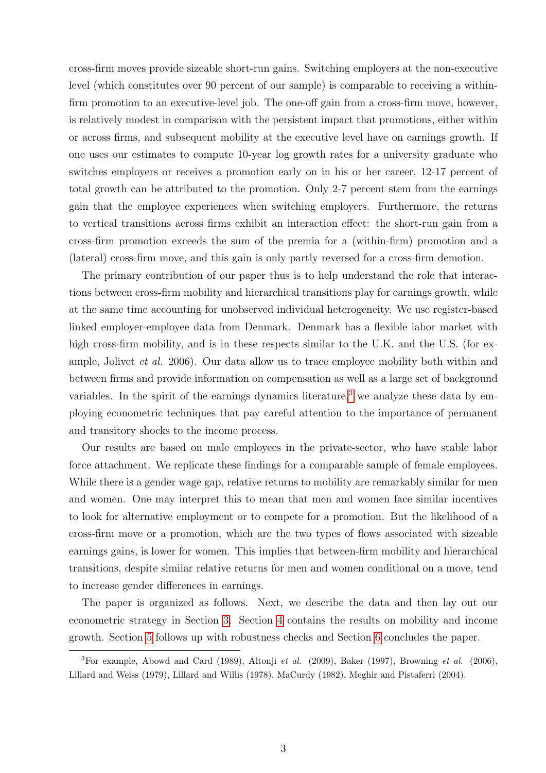cross-firm moves provide sizeable short-run gains. Switching employers at the non-executive level (which constitutes over 90 percent of our sample) is comparable to receiving a withinfirm promotion to an executive-level job. The one-off gain from a cross-firm move, however, is relatively modest in comparison with the persistent impact that promotions, either within or across firms, and subsequent mobility at the executive level have on earnings growth. If one uses our estimates to compute 10-year log growth rates for a university graduate who switches employers or receives a promotion early on in his or her career, 12-17 percent of total growth can be attributed to the promotion. Only 2-7 percent stem from the earnings gain that the employee experiences when switching employers. Furthermore, the returns to vertical transitions across firms exhibit an interaction effect: the short-run gain from a cross-firm promotion exceeds the sum of the premia for a (within-firm) promotion and a (lateral) cross-firm move, and this gain is only partly reversed for a cross-firm demotion.

The primary contribution of our paper thus is to help understand the role that interactions between cross-firm mobility and hierarchical transitions play for earnings growth, while at the same time accounting for unobserved individual heterogeneity. We use register-based linked employer-employee data from Denmark. Denmark has a flexible labor market with high cross-firm mobility, and is in these respects similar to the U.K. and the U.S. (for example, Jolivet et al. 2006). Our data allow us to trace employee mobility both within and between firms and provide information on compensation as well as a large set of background variables. In the spirit of the earnings dynamics literature,<sup>[3](#page-4-0)</sup> we analyze these data by employing econometric techniques that pay careful attention to the importance of permanent and transitory shocks to the income process.

Our results are based on male employees in the private-sector, who have stable labor force attachment. We replicate these findings for a comparable sample of female employees. While there is a gender wage gap, relative returns to mobility are remarkably similar for men and women. One may interpret this to mean that men and women face similar incentives to look for alternative employment or to compete for a promotion. But the likelihood of a cross-firm move or a promotion, which are the two types of flows associated with sizeable earnings gains, is lower for women. This implies that between-firm mobility and hierarchical transitions, despite similar relative returns for men and women conditional on a move, tend to increase gender differences in earnings.

The paper is organized as follows. Next, we describe the data and then lay out our econometric strategy in Section [3.](#page-7-0) Section [4](#page-10-0) contains the results on mobility and income growth. Section [5](#page-16-0) follows up with robustness checks and Section [6](#page-18-0) concludes the paper.

<span id="page-4-0"></span><sup>&</sup>lt;sup>3</sup>For example, Abowd and Card (1989), Altonji et al. (2009), Baker (1997), Browning et al. (2006), Lillard and Weiss (1979), Lillard and Willis (1978), MaCurdy (1982), Meghir and Pistaferri (2004).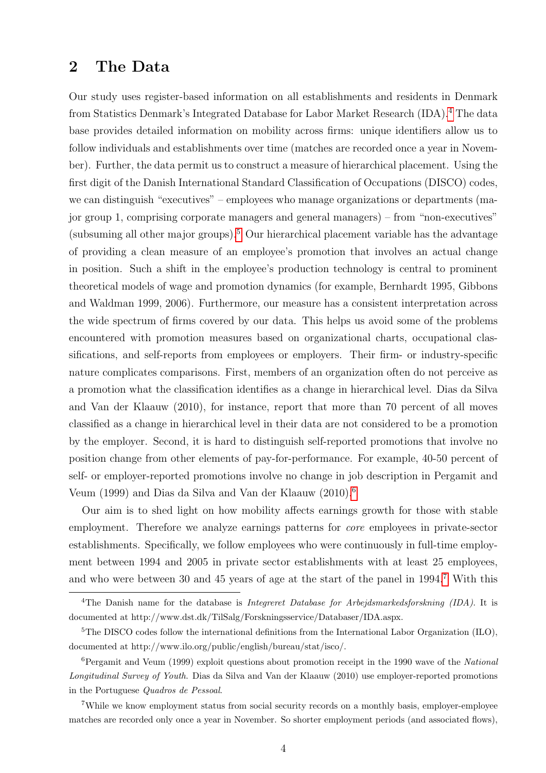### 2 The Data

Our study uses register-based information on all establishments and residents in Denmark from Statistics Denmark's Integrated Database for Labor Market Research (IDA).[4](#page-5-0) The data base provides detailed information on mobility across firms: unique identifiers allow us to follow individuals and establishments over time (matches are recorded once a year in November). Further, the data permit us to construct a measure of hierarchical placement. Using the first digit of the Danish International Standard Classification of Occupations (DISCO) codes, we can distinguish "executives" – employees who manage organizations or departments (major group 1, comprising corporate managers and general managers) – from "non-executives" (subsuming all other major groups).<sup>[5](#page-5-1)</sup> Our hierarchical placement variable has the advantage of providing a clean measure of an employee's promotion that involves an actual change in position. Such a shift in the employee's production technology is central to prominent theoretical models of wage and promotion dynamics (for example, Bernhardt 1995, Gibbons and Waldman 1999, 2006). Furthermore, our measure has a consistent interpretation across the wide spectrum of firms covered by our data. This helps us avoid some of the problems encountered with promotion measures based on organizational charts, occupational classifications, and self-reports from employees or employers. Their firm- or industry-specific nature complicates comparisons. First, members of an organization often do not perceive as a promotion what the classification identifies as a change in hierarchical level. Dias da Silva and Van der Klaauw (2010), for instance, report that more than 70 percent of all moves classified as a change in hierarchical level in their data are not considered to be a promotion by the employer. Second, it is hard to distinguish self-reported promotions that involve no position change from other elements of pay-for-performance. For example, 40-50 percent of self- or employer-reported promotions involve no change in job description in Pergamit and Veum (1999) and Dias da Silva and Van der Klaauw (2010).[6](#page-5-2)

Our aim is to shed light on how mobility affects earnings growth for those with stable employment. Therefore we analyze earnings patterns for core employees in private-sector establishments. Specifically, we follow employees who were continuously in full-time employment between 1994 and 2005 in private sector establishments with at least 25 employees, and who were between 30 and 45 years of age at the start of the panel in 1994.[7](#page-5-3) With this

<span id="page-5-0"></span><sup>&</sup>lt;sup>4</sup>The Danish name for the database is *Integreret Database for Arbeidsmarkedsforskning (IDA)*. It is documented at http://www.dst.dk/TilSalg/Forskningsservice/Databaser/IDA.aspx.

<span id="page-5-1"></span> ${}^{5}$ The DISCO codes follow the international definitions from the International Labor Organization (ILO), documented at http://www.ilo.org/public/english/bureau/stat/isco/.

<span id="page-5-2"></span> $6$ Pergamit and Veum (1999) exploit questions about promotion receipt in the 1990 wave of the National Longitudinal Survey of Youth. Dias da Silva and Van der Klaauw (2010) use employer-reported promotions in the Portuguese Quadros de Pessoal.

<span id="page-5-3"></span><sup>7</sup>While we know employment status from social security records on a monthly basis, employer-employee matches are recorded only once a year in November. So shorter employment periods (and associated flows),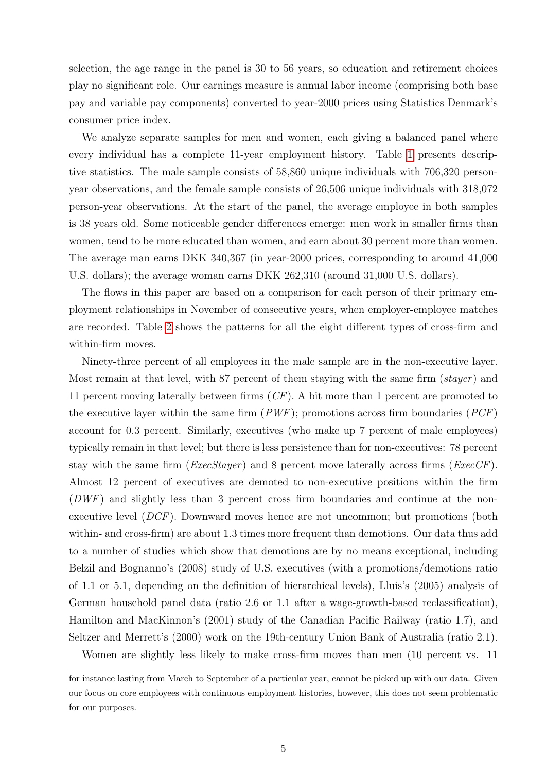selection, the age range in the panel is 30 to 56 years, so education and retirement choices play no significant role. Our earnings measure is annual labor income (comprising both base pay and variable pay components) converted to year-2000 prices using Statistics Denmark's consumer price index.

We analyze separate samples for men and women, each giving a balanced panel where every individual has a complete 11-year employment history. Table [1](#page-23-0) presents descriptive statistics. The male sample consists of 58,860 unique individuals with 706,320 personyear observations, and the female sample consists of 26,506 unique individuals with 318,072 person-year observations. At the start of the panel, the average employee in both samples is 38 years old. Some noticeable gender differences emerge: men work in smaller firms than women, tend to be more educated than women, and earn about 30 percent more than women. The average man earns DKK 340,367 (in year-2000 prices, corresponding to around 41,000 U.S. dollars); the average woman earns DKK 262,310 (around 31,000 U.S. dollars).

The flows in this paper are based on a comparison for each person of their primary employment relationships in November of consecutive years, when employer-employee matches are recorded. Table [2](#page-24-0) shows the patterns for all the eight different types of cross-firm and within-firm moves.

Ninety-three percent of all employees in the male sample are in the non-executive layer. Most remain at that level, with 87 percent of them staying with the same firm  $(s \text{tayer})$  and 11 percent moving laterally between firms (CF). A bit more than 1 percent are promoted to the executive layer within the same firm  $(PWF)$ ; promotions across firm boundaries  $(PCF)$ account for 0.3 percent. Similarly, executives (who make up 7 percent of male employees) typically remain in that level; but there is less persistence than for non-executives: 78 percent stay with the same firm  $(ExecStage)$  and 8 percent move laterally across firms  $(ExecCF)$ . Almost 12 percent of executives are demoted to non-executive positions within the firm (DWF) and slightly less than 3 percent cross firm boundaries and continue at the nonexecutive level (DCF). Downward moves hence are not uncommon; but promotions (both within- and cross-firm) are about 1.3 times more frequent than demotions. Our data thus add to a number of studies which show that demotions are by no means exceptional, including Belzil and Bognanno's (2008) study of U.S. executives (with a promotions/demotions ratio of 1.1 or 5.1, depending on the definition of hierarchical levels), Lluis's (2005) analysis of German household panel data (ratio 2.6 or 1.1 after a wage-growth-based reclassification), Hamilton and MacKinnon's (2001) study of the Canadian Pacific Railway (ratio 1.7), and Seltzer and Merrett's (2000) work on the 19th-century Union Bank of Australia (ratio 2.1). Women are slightly less likely to make cross-firm moves than men (10 percent vs. 11

for instance lasting from March to September of a particular year, cannot be picked up with our data. Given our focus on core employees with continuous employment histories, however, this does not seem problematic for our purposes.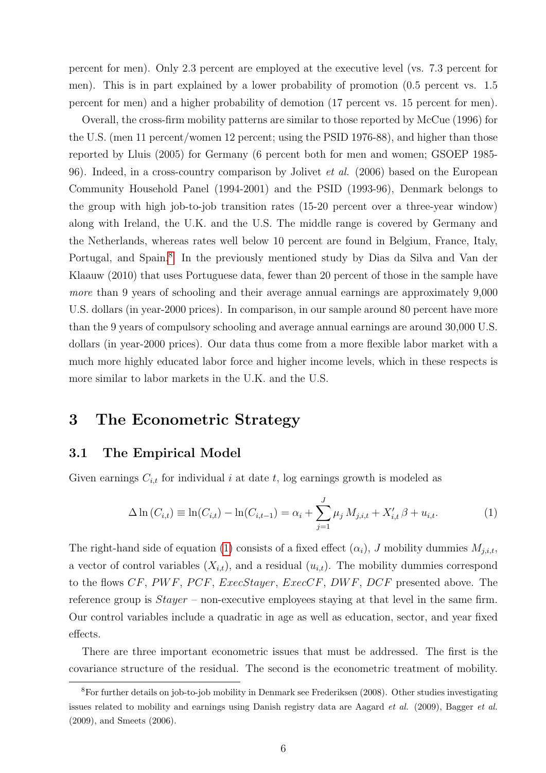percent for men). Only 2.3 percent are employed at the executive level (vs. 7.3 percent for men). This is in part explained by a lower probability of promotion (0.5 percent vs. 1.5 percent for men) and a higher probability of demotion (17 percent vs. 15 percent for men).

Overall, the cross-firm mobility patterns are similar to those reported by McCue (1996) for the U.S. (men 11 percent/women 12 percent; using the PSID 1976-88), and higher than those reported by Lluis (2005) for Germany (6 percent both for men and women; GSOEP 1985- 96). Indeed, in a cross-country comparison by Jolivet *et al.* (2006) based on the European Community Household Panel (1994-2001) and the PSID (1993-96), Denmark belongs to the group with high job-to-job transition rates (15-20 percent over a three-year window) along with Ireland, the U.K. and the U.S. The middle range is covered by Germany and the Netherlands, whereas rates well below 10 percent are found in Belgium, France, Italy, Portugal, and Spain.<sup>[8](#page-7-1)</sup> In the previously mentioned study by Dias da Silva and Van der Klaauw (2010) that uses Portuguese data, fewer than 20 percent of those in the sample have more than 9 years of schooling and their average annual earnings are approximately 9,000 U.S. dollars (in year-2000 prices). In comparison, in our sample around 80 percent have more than the 9 years of compulsory schooling and average annual earnings are around 30,000 U.S. dollars (in year-2000 prices). Our data thus come from a more flexible labor market with a much more highly educated labor force and higher income levels, which in these respects is more similar to labor markets in the U.K. and the U.S.

# <span id="page-7-0"></span>3 The Econometric Strategy

#### 3.1 The Empirical Model

Given earnings  $C_{i,t}$  for individual i at date t, log earnings growth is modeled as

<span id="page-7-2"></span>
$$
\Delta \ln(C_{i,t}) \equiv \ln(C_{i,t}) - \ln(C_{i,t-1}) = \alpha_i + \sum_{j=1}^{J} \mu_j M_{j,i,t} + X'_{i,t} \beta + u_{i,t}.
$$
 (1)

The right-hand side of equation [\(1\)](#page-7-2) consists of a fixed effect  $(\alpha_i)$ , J mobility dummies  $M_{j,i,t}$ , a vector of control variables  $(X_{i,t})$ , and a residual  $(u_{i,t})$ . The mobility dummies correspond to the flows  $CF$ ,  $PWF$ ,  $PCF$ ,  $ExecStayer$ ,  $ExecCF$ ,  $DWF$ ,  $DCF$  presented above. The reference group is  $Stayer$  – non-executive employees staying at that level in the same firm. Our control variables include a quadratic in age as well as education, sector, and year fixed effects.

There are three important econometric issues that must be addressed. The first is the covariance structure of the residual. The second is the econometric treatment of mobility.

<span id="page-7-1"></span><sup>8</sup>For further details on job-to-job mobility in Denmark see Frederiksen (2008). Other studies investigating issues related to mobility and earnings using Danish registry data are Aagard et al. (2009), Bagger et al. (2009), and Smeets (2006).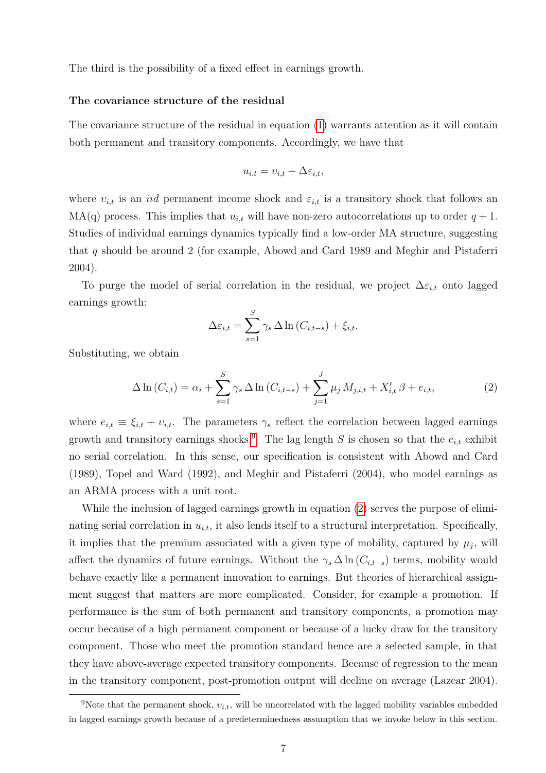The third is the possibility of a fixed effect in earnings growth.

#### The covariance structure of the residual

The covariance structure of the residual in equation [\(1\)](#page-7-2) warrants attention as it will contain both permanent and transitory components. Accordingly, we have that

$$
u_{i,t} = v_{i,t} + \Delta \varepsilon_{i,t},
$$

where  $v_{i,t}$  is an *iid* permanent income shock and  $\varepsilon_{i,t}$  is a transitory shock that follows an  $MA(q)$  process. This implies that  $u_{i,t}$  will have non-zero autocorrelations up to order  $q + 1$ . Studies of individual earnings dynamics typically find a low-order MA structure, suggesting that q should be around 2 (for example, Abowd and Card 1989 and Meghir and Pistaferri 2004).

To purge the model of serial correlation in the residual, we project  $\Delta \varepsilon_{i,t}$  onto lagged earnings growth:

$$
\Delta \varepsilon_{i,t} = \sum_{s=1}^{S} \gamma_s \Delta \ln \left( C_{i,t-s} \right) + \xi_{i,t}.
$$

Substituting, we obtain

<span id="page-8-1"></span>
$$
\Delta \ln(C_{i,t}) = \alpha_i + \sum_{s=1}^{S} \gamma_s \Delta \ln(C_{i,t-s}) + \sum_{j=1}^{J} \mu_j M_{j,i,t} + X'_{i,t} \beta + e_{i,t},
$$
\n(2)

where  $e_{i,t} \equiv \xi_{i,t} + v_{i,t}$ . The parameters  $\gamma_s$  reflect the correlation between lagged earnings growth and transitory earnings shocks.<sup>[9](#page-8-0)</sup> The lag length S is chosen so that the  $e_{i,t}$  exhibit no serial correlation. In this sense, our specification is consistent with Abowd and Card (1989), Topel and Ward (1992), and Meghir and Pistaferri (2004), who model earnings as an ARMA process with a unit root.

While the inclusion of lagged earnings growth in equation [\(2\)](#page-8-1) serves the purpose of eliminating serial correlation in  $u_{i,t}$ , it also lends itself to a structural interpretation. Specifically, it implies that the premium associated with a given type of mobility, captured by  $\mu_j$ , will affect the dynamics of future earnings. Without the  $\gamma_s \Delta \ln(C_{i,t-s})$  terms, mobility would behave exactly like a permanent innovation to earnings. But theories of hierarchical assignment suggest that matters are more complicated. Consider, for example a promotion. If performance is the sum of both permanent and transitory components, a promotion may occur because of a high permanent component or because of a lucky draw for the transitory component. Those who meet the promotion standard hence are a selected sample, in that they have above-average expected transitory components. Because of regression to the mean in the transitory component, post-promotion output will decline on average (Lazear 2004).

<span id="page-8-0"></span><sup>&</sup>lt;sup>9</sup>Note that the permanent shock,  $v_{i,t}$ , will be uncorrelated with the lagged mobility variables embedded in lagged earnings growth because of a predeterminedness assumption that we invoke below in this section.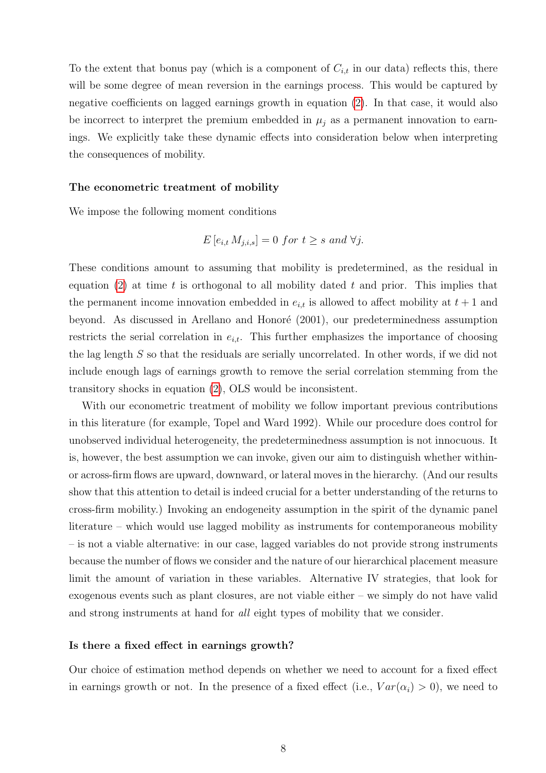To the extent that bonus pay (which is a component of  $C_{i,t}$  in our data) reflects this, there will be some degree of mean reversion in the earnings process. This would be captured by negative coefficients on lagged earnings growth in equation [\(2\)](#page-8-1). In that case, it would also be incorrect to interpret the premium embedded in  $\mu_j$  as a permanent innovation to earnings. We explicitly take these dynamic effects into consideration below when interpreting the consequences of mobility.

#### The econometric treatment of mobility

We impose the following moment conditions

$$
E[e_{i,t} M_{j,i,s}] = 0 \text{ for } t \ge s \text{ and } \forall j.
$$

These conditions amount to assuming that mobility is predetermined, as the residual in equation [\(2\)](#page-8-1) at time t is orthogonal to all mobility dated t and prior. This implies that the permanent income innovation embedded in  $e_{i,t}$  is allowed to affect mobility at  $t+1$  and beyond. As discussed in Arellano and Honoré (2001), our predeterminedness assumption restricts the serial correlation in  $e_{i,t}$ . This further emphasizes the importance of choosing the lag length S so that the residuals are serially uncorrelated. In other words, if we did not include enough lags of earnings growth to remove the serial correlation stemming from the transitory shocks in equation [\(2\)](#page-8-1), OLS would be inconsistent.

With our econometric treatment of mobility we follow important previous contributions in this literature (for example, Topel and Ward 1992). While our procedure does control for unobserved individual heterogeneity, the predeterminedness assumption is not innocuous. It is, however, the best assumption we can invoke, given our aim to distinguish whether withinor across-firm flows are upward, downward, or lateral moves in the hierarchy. (And our results show that this attention to detail is indeed crucial for a better understanding of the returns to cross-firm mobility.) Invoking an endogeneity assumption in the spirit of the dynamic panel literature – which would use lagged mobility as instruments for contemporaneous mobility – is not a viable alternative: in our case, lagged variables do not provide strong instruments because the number of flows we consider and the nature of our hierarchical placement measure limit the amount of variation in these variables. Alternative IV strategies, that look for exogenous events such as plant closures, are not viable either – we simply do not have valid and strong instruments at hand for all eight types of mobility that we consider.

#### Is there a fixed effect in earnings growth?

Our choice of estimation method depends on whether we need to account for a fixed effect in earnings growth or not. In the presence of a fixed effect (i.e.,  $Var(\alpha_i) > 0$ ), we need to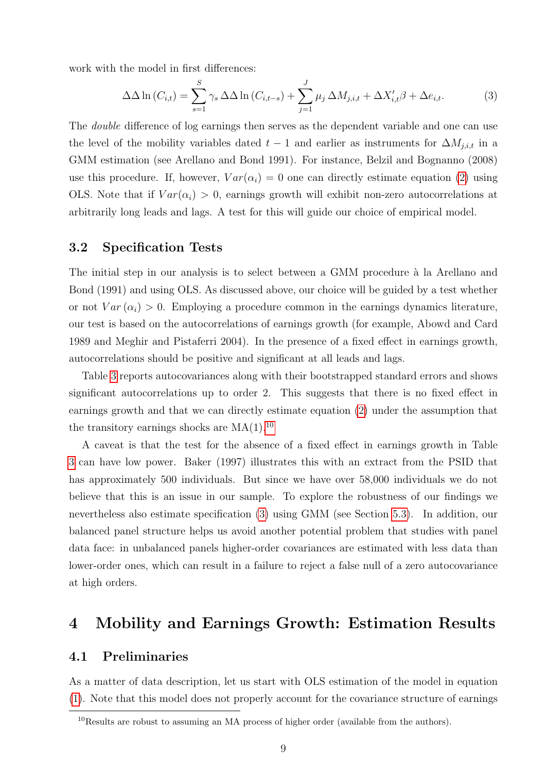work with the model in first differences:

<span id="page-10-2"></span>
$$
\Delta\Delta\ln(C_{i,t}) = \sum_{s=1}^{S} \gamma_s \Delta\Delta\ln(C_{i,t-s}) + \sum_{j=1}^{J} \mu_j \Delta M_{j,i,t} + \Delta X'_{i,t}\beta + \Delta e_{i,t}.
$$
 (3)

The double difference of log earnings then serves as the dependent variable and one can use the level of the mobility variables dated  $t-1$  and earlier as instruments for  $\Delta M_{j,i,t}$  in a GMM estimation (see Arellano and Bond 1991). For instance, Belzil and Bognanno (2008) use this procedure. If, however,  $Var(\alpha_i) = 0$  one can directly estimate equation [\(2\)](#page-8-1) using OLS. Note that if  $Var(\alpha_i) > 0$ , earnings growth will exhibit non-zero autocorrelations at arbitrarily long leads and lags. A test for this will guide our choice of empirical model.

#### <span id="page-10-3"></span>3.2 Specification Tests

The initial step in our analysis is to select between a GMM procedure à la Arellano and Bond (1991) and using OLS. As discussed above, our choice will be guided by a test whether or not  $Var(\alpha_i) > 0$ . Employing a procedure common in the earnings dynamics literature, our test is based on the autocorrelations of earnings growth (for example, Abowd and Card 1989 and Meghir and Pistaferri 2004). In the presence of a fixed effect in earnings growth, autocorrelations should be positive and significant at all leads and lags.

Table [3](#page-24-1) reports autocovariances along with their bootstrapped standard errors and shows significant autocorrelations up to order 2. This suggests that there is no fixed effect in earnings growth and that we can directly estimate equation [\(2\)](#page-8-1) under the assumption that the transitory earnings shocks are  $MA(1).^{10}$  $MA(1).^{10}$  $MA(1).^{10}$ 

A caveat is that the test for the absence of a fixed effect in earnings growth in Table [3](#page-24-1) can have low power. Baker (1997) illustrates this with an extract from the PSID that has approximately 500 individuals. But since we have over 58,000 individuals we do not believe that this is an issue in our sample. To explore the robustness of our findings we nevertheless also estimate specification [\(3\)](#page-10-2) using GMM (see Section [5.3\)](#page-17-0). In addition, our balanced panel structure helps us avoid another potential problem that studies with panel data face: in unbalanced panels higher-order covariances are estimated with less data than lower-order ones, which can result in a failure to reject a false null of a zero autocovariance at high orders.

### <span id="page-10-0"></span>4 Mobility and Earnings Growth: Estimation Results

#### 4.1 Preliminaries

As a matter of data description, let us start with OLS estimation of the model in equation [\(1\)](#page-7-2). Note that this model does not properly account for the covariance structure of earnings

<span id="page-10-1"></span><sup>10</sup>Results are robust to assuming an MA process of higher order (available from the authors).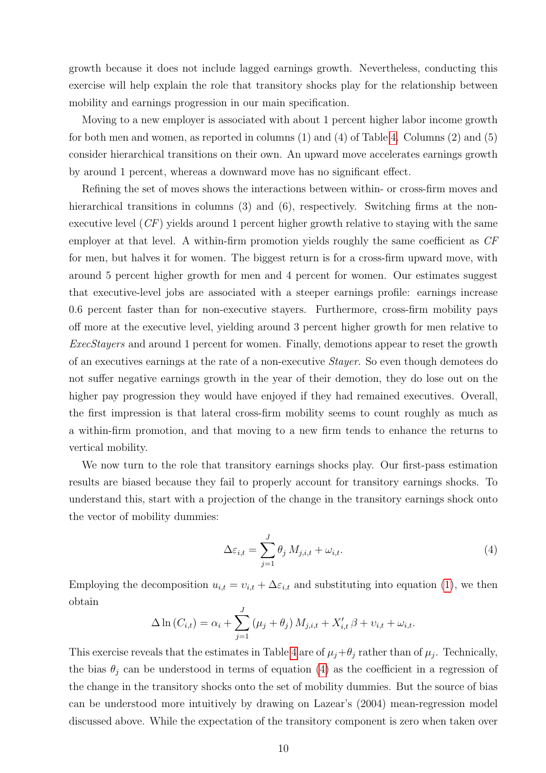growth because it does not include lagged earnings growth. Nevertheless, conducting this exercise will help explain the role that transitory shocks play for the relationship between mobility and earnings progression in our main specification.

Moving to a new employer is associated with about 1 percent higher labor income growth for both men and women, as reported in columns (1) and (4) of Table [4.](#page-25-0) Columns (2) and (5) consider hierarchical transitions on their own. An upward move accelerates earnings growth by around 1 percent, whereas a downward move has no significant effect.

Refining the set of moves shows the interactions between within- or cross-firm moves and hierarchical transitions in columns (3) and (6), respectively. Switching firms at the nonexecutive level  $(CF)$  yields around 1 percent higher growth relative to staying with the same employer at that level. A within-firm promotion yields roughly the same coefficient as CF for men, but halves it for women. The biggest return is for a cross-firm upward move, with around 5 percent higher growth for men and 4 percent for women. Our estimates suggest that executive-level jobs are associated with a steeper earnings profile: earnings increase 0.6 percent faster than for non-executive stayers. Furthermore, cross-firm mobility pays off more at the executive level, yielding around 3 percent higher growth for men relative to ExecStayers and around 1 percent for women. Finally, demotions appear to reset the growth of an executives earnings at the rate of a non-executive Stayer. So even though demotees do not suffer negative earnings growth in the year of their demotion, they do lose out on the higher pay progression they would have enjoyed if they had remained executives. Overall, the first impression is that lateral cross-firm mobility seems to count roughly as much as a within-firm promotion, and that moving to a new firm tends to enhance the returns to vertical mobility.

We now turn to the role that transitory earnings shocks play. Our first-pass estimation results are biased because they fail to properly account for transitory earnings shocks. To understand this, start with a projection of the change in the transitory earnings shock onto the vector of mobility dummies:

<span id="page-11-0"></span>
$$
\Delta \varepsilon_{i,t} = \sum_{j=1}^{J} \theta_j M_{j,i,t} + \omega_{i,t}.
$$
\n(4)

Employing the decomposition  $u_{i,t} = v_{i,t} + \Delta \varepsilon_{i,t}$  and substituting into equation [\(1\)](#page-7-2), we then obtain

$$
\Delta \ln (C_{i,t}) = \alpha_i + \sum_{j=1}^{J} (\mu_j + \theta_j) M_{j,i,t} + X'_{i,t} \beta + \nu_{i,t} + \omega_{i,t}.
$$

This exercise reveals that the estimates in Table [4](#page-25-0) are of  $\mu_j + \theta_j$  rather than of  $\mu_j$ . Technically, the bias  $\theta_j$  can be understood in terms of equation [\(4\)](#page-11-0) as the coefficient in a regression of the change in the transitory shocks onto the set of mobility dummies. But the source of bias can be understood more intuitively by drawing on Lazear's (2004) mean-regression model discussed above. While the expectation of the transitory component is zero when taken over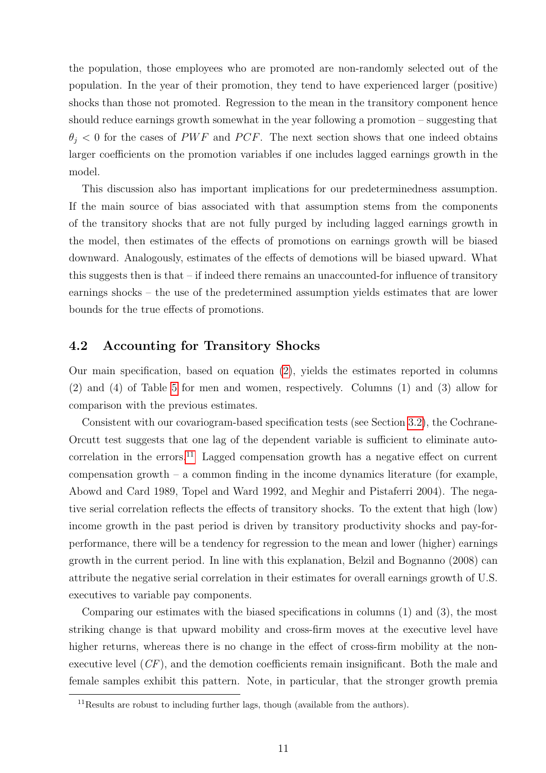the population, those employees who are promoted are non-randomly selected out of the population. In the year of their promotion, they tend to have experienced larger (positive) shocks than those not promoted. Regression to the mean in the transitory component hence should reduce earnings growth somewhat in the year following a promotion – suggesting that  $\theta_i$  < 0 for the cases of PWF and PCF. The next section shows that one indeed obtains larger coefficients on the promotion variables if one includes lagged earnings growth in the model.

This discussion also has important implications for our predeterminedness assumption. If the main source of bias associated with that assumption stems from the components of the transitory shocks that are not fully purged by including lagged earnings growth in the model, then estimates of the effects of promotions on earnings growth will be biased downward. Analogously, estimates of the effects of demotions will be biased upward. What this suggests then is that – if indeed there remains an unaccounted-for influence of transitory earnings shocks – the use of the predetermined assumption yields estimates that are lower bounds for the true effects of promotions.

#### 4.2 Accounting for Transitory Shocks

Our main specification, based on equation [\(2\)](#page-8-1), yields the estimates reported in columns (2) and (4) of Table [5](#page-26-0) for men and women, respectively. Columns (1) and (3) allow for comparison with the previous estimates.

Consistent with our covariogram-based specification tests (see Section [3.2\)](#page-10-3), the Cochrane-Orcutt test suggests that one lag of the dependent variable is sufficient to eliminate auto-correlation in the errors.<sup>[11](#page-12-0)</sup> Lagged compensation growth has a negative effect on current compensation growth – a common finding in the income dynamics literature (for example, Abowd and Card 1989, Topel and Ward 1992, and Meghir and Pistaferri 2004). The negative serial correlation reflects the effects of transitory shocks. To the extent that high (low) income growth in the past period is driven by transitory productivity shocks and pay-forperformance, there will be a tendency for regression to the mean and lower (higher) earnings growth in the current period. In line with this explanation, Belzil and Bognanno (2008) can attribute the negative serial correlation in their estimates for overall earnings growth of U.S. executives to variable pay components.

Comparing our estimates with the biased specifications in columns (1) and (3), the most striking change is that upward mobility and cross-firm moves at the executive level have higher returns, whereas there is no change in the effect of cross-firm mobility at the nonexecutive level (CF), and the demotion coefficients remain insignificant. Both the male and female samples exhibit this pattern. Note, in particular, that the stronger growth premia

<span id="page-12-0"></span><sup>&</sup>lt;sup>11</sup>Results are robust to including further lags, though (available from the authors).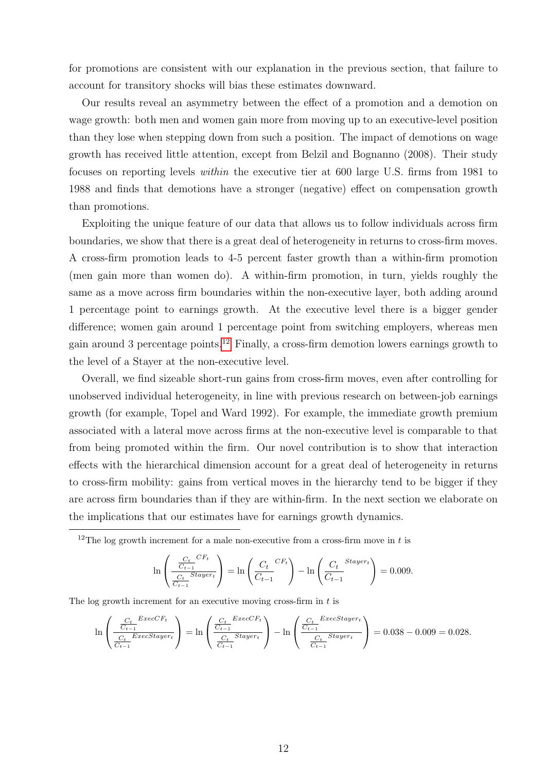for promotions are consistent with our explanation in the previous section, that failure to account for transitory shocks will bias these estimates downward.

Our results reveal an asymmetry between the effect of a promotion and a demotion on wage growth: both men and women gain more from moving up to an executive-level position than they lose when stepping down from such a position. The impact of demotions on wage growth has received little attention, except from Belzil and Bognanno (2008). Their study focuses on reporting levels within the executive tier at 600 large U.S. firms from 1981 to 1988 and finds that demotions have a stronger (negative) effect on compensation growth than promotions.

Exploiting the unique feature of our data that allows us to follow individuals across firm boundaries, we show that there is a great deal of heterogeneity in returns to cross-firm moves. A cross-firm promotion leads to 4-5 percent faster growth than a within-firm promotion (men gain more than women do). A within-firm promotion, in turn, yields roughly the same as a move across firm boundaries within the non-executive layer, both adding around 1 percentage point to earnings growth. At the executive level there is a bigger gender difference; women gain around 1 percentage point from switching employers, whereas men gain around 3 percentage points.<sup>[12](#page-13-0)</sup> Finally, a cross-firm demotion lowers earnings growth to the level of a Stayer at the non-executive level.

Overall, we find sizeable short-run gains from cross-firm moves, even after controlling for unobserved individual heterogeneity, in line with previous research on between-job earnings growth (for example, Topel and Ward 1992). For example, the immediate growth premium associated with a lateral move across firms at the non-executive level is comparable to that from being promoted within the firm. Our novel contribution is to show that interaction effects with the hierarchical dimension account for a great deal of heterogeneity in returns to cross-firm mobility: gains from vertical moves in the hierarchy tend to be bigger if they are across firm boundaries than if they are within-firm. In the next section we elaborate on the implications that our estimates have for earnings growth dynamics.

<span id="page-13-0"></span><sup>12</sup>The log growth increment for a male non-executive from a cross-firm move in t is

$$
\ln\left(\frac{\frac{C_t}{C_{t-1}}^{CF_t}}{\frac{C_t}{C_{t-1}}^{Stayer_t}}\right) = \ln\left(\frac{C_t}{C_{t-1}}^{CF_t}\right) - \ln\left(\frac{C_t}{C_{t-1}}^{Stayer_t}\right) = 0.009.
$$

The log growth increment for an executive moving cross-firm in  $t$  is

$$
\ln \left( \frac{\frac{C_t}{C_{t-1}}^{ExecCF_t}}{\frac{C_t}{C_{t-1}}^{ExecStayer_t}} \right) = \ln \left( \frac{\frac{C_t}{C_{t-1}}^{ExecCF_t}}{\frac{C_t}{C_{t-1}}^{ExexF_t}} \right) - \ln \left( \frac{\frac{C_t}{C_{t-1}}^{ExecStayer_t}}{\frac{C_t}{C_{t-1}}^{ExexF_t}} \right) = 0.038 - 0.009 = 0.028.
$$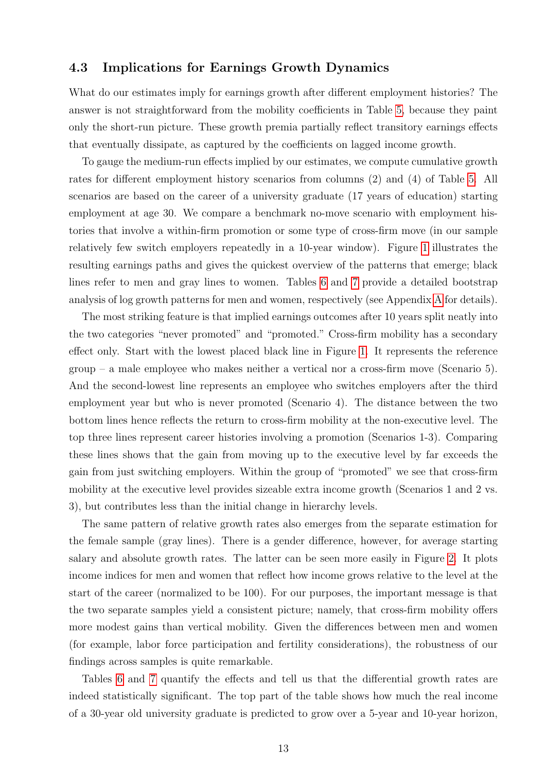#### 4.3 Implications for Earnings Growth Dynamics

What do our estimates imply for earnings growth after different employment histories? The answer is not straightforward from the mobility coefficients in Table [5,](#page-26-0) because they paint only the short-run picture. These growth premia partially reflect transitory earnings effects that eventually dissipate, as captured by the coefficients on lagged income growth.

To gauge the medium-run effects implied by our estimates, we compute cumulative growth rates for different employment history scenarios from columns (2) and (4) of Table [5.](#page-26-0) All scenarios are based on the career of a university graduate (17 years of education) starting employment at age 30. We compare a benchmark no-move scenario with employment histories that involve a within-firm promotion or some type of cross-firm move (in our sample relatively few switch employers repeatedly in a 10-year window). Figure [1](#page-27-0) illustrates the resulting earnings paths and gives the quickest overview of the patterns that emerge; black lines refer to men and gray lines to women. Tables [6](#page-29-0) and [7](#page-30-0) provide a detailed bootstrap analysis of log growth patterns for men and women, respectively (see Appendix [A](#page-18-1) for details).

The most striking feature is that implied earnings outcomes after 10 years split neatly into the two categories "never promoted" and "promoted." Cross-firm mobility has a secondary effect only. Start with the lowest placed black line in Figure [1.](#page-27-0) It represents the reference group – a male employee who makes neither a vertical nor a cross-firm move (Scenario 5). And the second-lowest line represents an employee who switches employers after the third employment year but who is never promoted (Scenario 4). The distance between the two bottom lines hence reflects the return to cross-firm mobility at the non-executive level. The top three lines represent career histories involving a promotion (Scenarios 1-3). Comparing these lines shows that the gain from moving up to the executive level by far exceeds the gain from just switching employers. Within the group of "promoted" we see that cross-firm mobility at the executive level provides sizeable extra income growth (Scenarios 1 and 2 vs. 3), but contributes less than the initial change in hierarchy levels.

The same pattern of relative growth rates also emerges from the separate estimation for the female sample (gray lines). There is a gender difference, however, for average starting salary and absolute growth rates. The latter can be seen more easily in Figure [2.](#page-28-0) It plots income indices for men and women that reflect how income grows relative to the level at the start of the career (normalized to be 100). For our purposes, the important message is that the two separate samples yield a consistent picture; namely, that cross-firm mobility offers more modest gains than vertical mobility. Given the differences between men and women (for example, labor force participation and fertility considerations), the robustness of our findings across samples is quite remarkable.

Tables [6](#page-29-0) and [7](#page-30-0) quantify the effects and tell us that the differential growth rates are indeed statistically significant. The top part of the table shows how much the real income of a 30-year old university graduate is predicted to grow over a 5-year and 10-year horizon,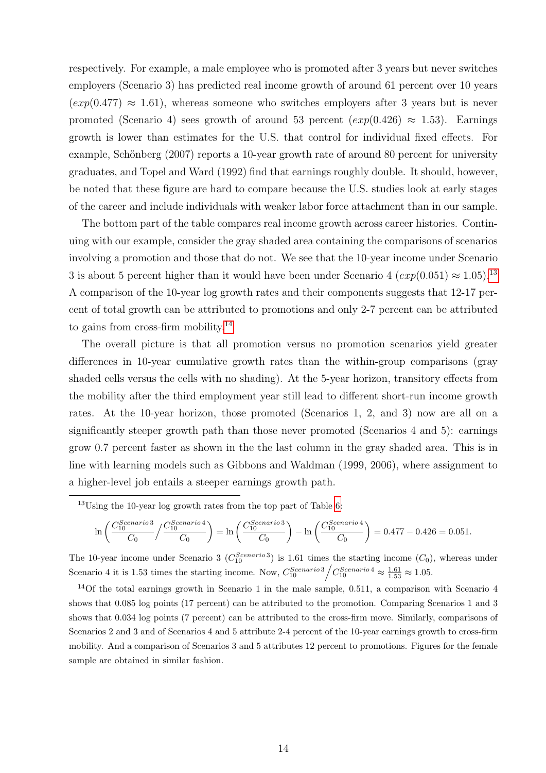respectively. For example, a male employee who is promoted after 3 years but never switches employers (Scenario 3) has predicted real income growth of around 61 percent over 10 years  $(exp(0.477) \approx 1.61)$ , whereas someone who switches employers after 3 years but is never promoted (Scenario 4) sees growth of around 53 percent  $(exp(0.426) \approx 1.53)$ . Earnings growth is lower than estimates for the U.S. that control for individual fixed effects. For example, Schönberg (2007) reports a 10-year growth rate of around 80 percent for university graduates, and Topel and Ward (1992) find that earnings roughly double. It should, however, be noted that these figure are hard to compare because the U.S. studies look at early stages of the career and include individuals with weaker labor force attachment than in our sample.

The bottom part of the table compares real income growth across career histories. Continuing with our example, consider the gray shaded area containing the comparisons of scenarios involving a promotion and those that do not. We see that the 10-year income under Scenario 3 is about 5 percent higher than it would have been under Scenario 4  $(exp(0.051) \approx 1.05).$ <sup>[13](#page-15-0)</sup> A comparison of the 10-year log growth rates and their components suggests that 12-17 percent of total growth can be attributed to promotions and only 2-7 percent can be attributed to gains from cross-firm mobility.[14](#page-15-1)

The overall picture is that all promotion versus no promotion scenarios yield greater differences in 10-year cumulative growth rates than the within-group comparisons (gray shaded cells versus the cells with no shading). At the 5-year horizon, transitory effects from the mobility after the third employment year still lead to different short-run income growth rates. At the 10-year horizon, those promoted (Scenarios 1, 2, and 3) now are all on a significantly steeper growth path than those never promoted (Scenarios 4 and 5): earnings grow 0.7 percent faster as shown in the the last column in the gray shaded area. This is in line with learning models such as Gibbons and Waldman (1999, 2006), where assignment to a higher-level job entails a steeper earnings growth path.

<span id="page-15-0"></span> $13$ Using the 10-year log growth rates from the top part of Table [6:](#page-29-0)

$$
\ln\left(\frac{C_{10}^{Scenario\,3}}{C_0}\middle/\frac{C_{10}^{Scenario\,4}}{C_0}\right) = \ln\left(\frac{C_{10}^{Scenario\,3}}{C_0}\right) - \ln\left(\frac{C_{10}^{Scenario\,4}}{C_0}\right) = 0.477 - 0.426 = 0.051.
$$

The 10-year income under Scenario 3 ( $C_{10}^{Scenario3}$ ) is 1.61 times the starting income ( $C_0$ ), whereas under Scenario 4 it is 1.53 times the starting income. Now,  $C_{10}^{Scenario3} / C_{10}^{Scenario4} \approx \frac{1.61}{1.53} \approx 1.05$ .

<span id="page-15-1"></span><sup>14</sup>Of the total earnings growth in Scenario 1 in the male sample, 0.511, a comparison with Scenario 4 shows that 0.085 log points (17 percent) can be attributed to the promotion. Comparing Scenarios 1 and 3 shows that 0.034 log points (7 percent) can be attributed to the cross-firm move. Similarly, comparisons of Scenarios 2 and 3 and of Scenarios 4 and 5 attribute 2-4 percent of the 10-year earnings growth to cross-firm mobility. And a comparison of Scenarios 3 and 5 attributes 12 percent to promotions. Figures for the female sample are obtained in similar fashion.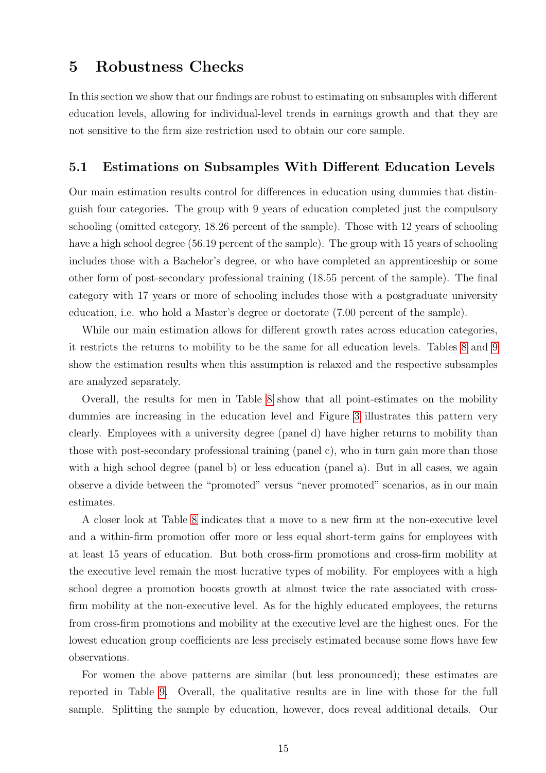### <span id="page-16-0"></span>5 Robustness Checks

In this section we show that our findings are robust to estimating on subsamples with different education levels, allowing for individual-level trends in earnings growth and that they are not sensitive to the firm size restriction used to obtain our core sample.

#### 5.1 Estimations on Subsamples With Different Education Levels

Our main estimation results control for differences in education using dummies that distinguish four categories. The group with 9 years of education completed just the compulsory schooling (omitted category, 18.26 percent of the sample). Those with 12 years of schooling have a high school degree (56.19 percent of the sample). The group with 15 years of schooling includes those with a Bachelor's degree, or who have completed an apprenticeship or some other form of post-secondary professional training (18.55 percent of the sample). The final category with 17 years or more of schooling includes those with a postgraduate university education, i.e. who hold a Master's degree or doctorate (7.00 percent of the sample).

While our main estimation allows for different growth rates across education categories, it restricts the returns to mobility to be the same for all education levels. Tables [8](#page-31-0) and [9](#page-32-0) show the estimation results when this assumption is relaxed and the respective subsamples are analyzed separately.

Overall, the results for men in Table [8](#page-31-0) show that all point-estimates on the mobility dummies are increasing in the education level and Figure [3](#page-33-0) illustrates this pattern very clearly. Employees with a university degree (panel d) have higher returns to mobility than those with post-secondary professional training (panel c), who in turn gain more than those with a high school degree (panel b) or less education (panel a). But in all cases, we again observe a divide between the "promoted" versus "never promoted" scenarios, as in our main estimates.

A closer look at Table [8](#page-31-0) indicates that a move to a new firm at the non-executive level and a within-firm promotion offer more or less equal short-term gains for employees with at least 15 years of education. But both cross-firm promotions and cross-firm mobility at the executive level remain the most lucrative types of mobility. For employees with a high school degree a promotion boosts growth at almost twice the rate associated with crossfirm mobility at the non-executive level. As for the highly educated employees, the returns from cross-firm promotions and mobility at the executive level are the highest ones. For the lowest education group coefficients are less precisely estimated because some flows have few observations.

For women the above patterns are similar (but less pronounced); these estimates are reported in Table [9.](#page-32-0) Overall, the qualitative results are in line with those for the full sample. Splitting the sample by education, however, does reveal additional details. Our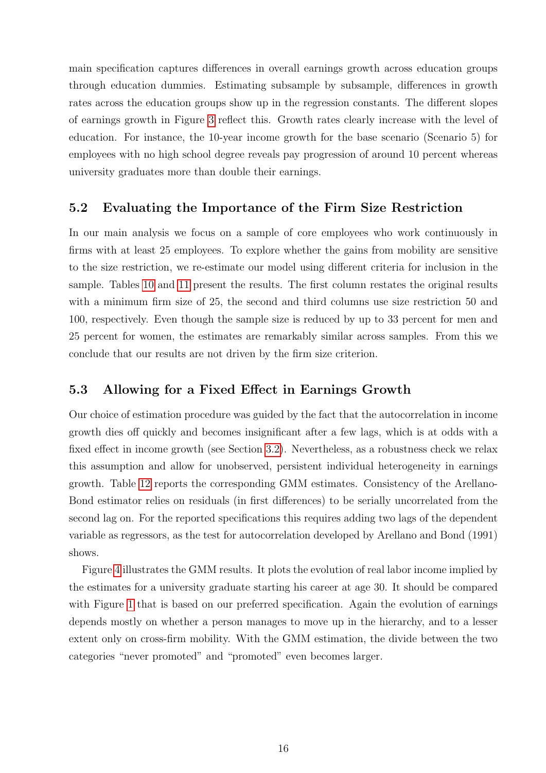main specification captures differences in overall earnings growth across education groups through education dummies. Estimating subsample by subsample, differences in growth rates across the education groups show up in the regression constants. The different slopes of earnings growth in Figure [3](#page-33-0) reflect this. Growth rates clearly increase with the level of education. For instance, the 10-year income growth for the base scenario (Scenario 5) for employees with no high school degree reveals pay progression of around 10 percent whereas university graduates more than double their earnings.

### 5.2 Evaluating the Importance of the Firm Size Restriction

In our main analysis we focus on a sample of core employees who work continuously in firms with at least 25 employees. To explore whether the gains from mobility are sensitive to the size restriction, we re-estimate our model using different criteria for inclusion in the sample. Tables [10](#page-34-0) and [11](#page-35-0) present the results. The first column restates the original results with a minimum firm size of 25, the second and third columns use size restriction 50 and 100, respectively. Even though the sample size is reduced by up to 33 percent for men and 25 percent for women, the estimates are remarkably similar across samples. From this we conclude that our results are not driven by the firm size criterion.

#### <span id="page-17-0"></span>5.3 Allowing for a Fixed Effect in Earnings Growth

Our choice of estimation procedure was guided by the fact that the autocorrelation in income growth dies off quickly and becomes insignificant after a few lags, which is at odds with a fixed effect in income growth (see Section [3.2\)](#page-10-3). Nevertheless, as a robustness check we relax this assumption and allow for unobserved, persistent individual heterogeneity in earnings growth. Table [12](#page-36-0) reports the corresponding GMM estimates. Consistency of the Arellano-Bond estimator relies on residuals (in first differences) to be serially uncorrelated from the second lag on. For the reported specifications this requires adding two lags of the dependent variable as regressors, as the test for autocorrelation developed by Arellano and Bond (1991) shows.

Figure [4](#page-37-0) illustrates the GMM results. It plots the evolution of real labor income implied by the estimates for a university graduate starting his career at age 30. It should be compared with Figure [1](#page-27-0) that is based on our preferred specification. Again the evolution of earnings depends mostly on whether a person manages to move up in the hierarchy, and to a lesser extent only on cross-firm mobility. With the GMM estimation, the divide between the two categories "never promoted" and "promoted" even becomes larger.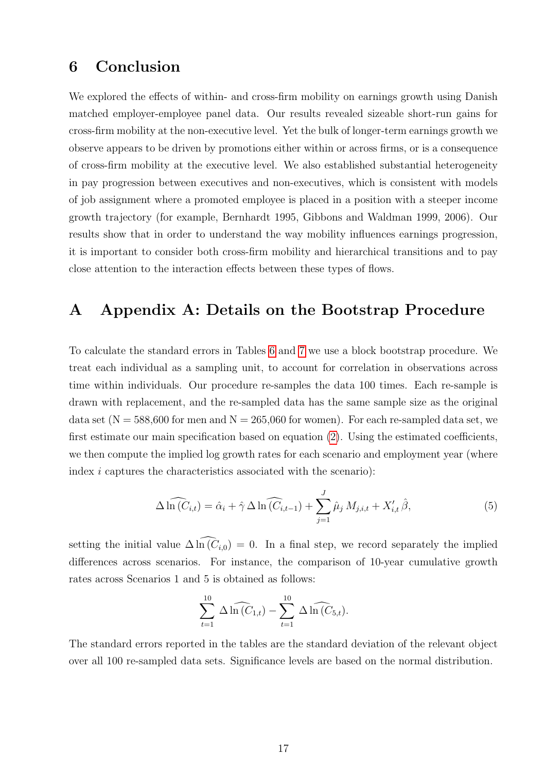### <span id="page-18-0"></span>6 Conclusion

We explored the effects of within- and cross-firm mobility on earnings growth using Danish matched employer-employee panel data. Our results revealed sizeable short-run gains for cross-firm mobility at the non-executive level. Yet the bulk of longer-term earnings growth we observe appears to be driven by promotions either within or across firms, or is a consequence of cross-firm mobility at the executive level. We also established substantial heterogeneity in pay progression between executives and non-executives, which is consistent with models of job assignment where a promoted employee is placed in a position with a steeper income growth trajectory (for example, Bernhardt 1995, Gibbons and Waldman 1999, 2006). Our results show that in order to understand the way mobility influences earnings progression, it is important to consider both cross-firm mobility and hierarchical transitions and to pay close attention to the interaction effects between these types of flows.

### <span id="page-18-1"></span>A Appendix A: Details on the Bootstrap Procedure

To calculate the standard errors in Tables [6](#page-29-0) and [7](#page-30-0) we use a block bootstrap procedure. We treat each individual as a sampling unit, to account for correlation in observations across time within individuals. Our procedure re-samples the data 100 times. Each re-sample is drawn with replacement, and the re-sampled data has the same sample size as the original data set  $(N = 588,600$  for men and  $N = 265,060$  for women). For each re-sampled data set, we first estimate our main specification based on equation [\(2\)](#page-8-1). Using the estimated coefficients, we then compute the implied log growth rates for each scenario and employment year (where index i captures the characteristics associated with the scenario):

$$
\Delta \widehat{\ln(C_{i,t})} = \widehat{\alpha}_i + \widehat{\gamma} \Delta \widehat{\ln(C_{i,t-1})} + \sum_{j=1}^{J} \widehat{\mu}_j M_{j,i,t} + X'_{i,t} \widehat{\beta},
$$
\n(5)

setting the initial value  $\Delta \ln(C_{i,0}) = 0$ . In a final step, we record separately the implied differences across scenarios. For instance, the comparison of 10-year cumulative growth rates across Scenarios 1 and 5 is obtained as follows:

$$
\sum_{t=1}^{10} \Delta \widehat{\ln(C_{1,t})} - \sum_{t=1}^{10} \Delta \widehat{\ln(C_{5,t})}.
$$

The standard errors reported in the tables are the standard deviation of the relevant object over all 100 re-sampled data sets. Significance levels are based on the normal distribution.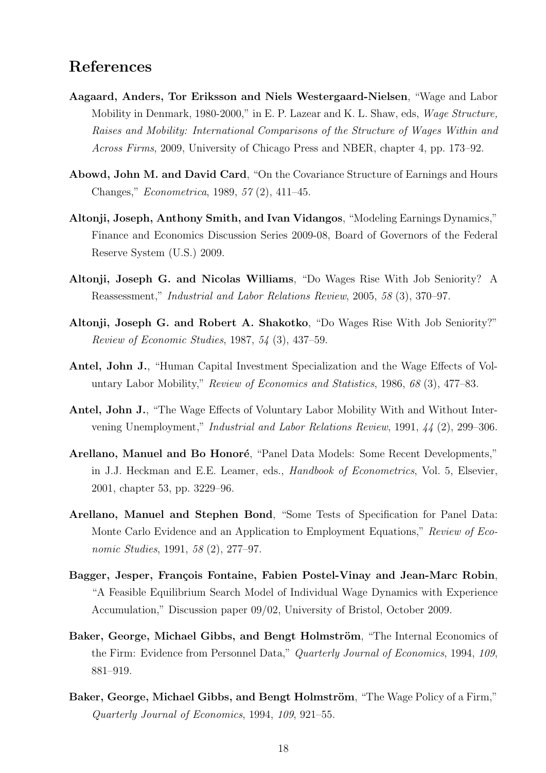## References

- Aagaard, Anders, Tor Eriksson and Niels Westergaard-Nielsen, "Wage and Labor Mobility in Denmark, 1980-2000," in E. P. Lazear and K. L. Shaw, eds, Wage Structure, Raises and Mobility: International Comparisons of the Structure of Wages Within and Across Firms, 2009, University of Chicago Press and NBER, chapter 4, pp. 173–92.
- Abowd, John M. and David Card, "On the Covariance Structure of Earnings and Hours Changes," Econometrica, 1989, 57 (2), 411–45.
- Altonji, Joseph, Anthony Smith, and Ivan Vidangos, "Modeling Earnings Dynamics," Finance and Economics Discussion Series 2009-08, Board of Governors of the Federal Reserve System (U.S.) 2009.
- Altonji, Joseph G. and Nicolas Williams, "Do Wages Rise With Job Seniority? A Reassessment," Industrial and Labor Relations Review, 2005, 58 (3), 370–97.
- Altonji, Joseph G. and Robert A. Shakotko, "Do Wages Rise With Job Seniority?" Review of Economic Studies, 1987, 54 (3), 437–59.
- Antel, John J., "Human Capital Investment Specialization and the Wage Effects of Voluntary Labor Mobility," Review of Economics and Statistics, 1986, 68 (3), 477–83.
- Antel, John J., "The Wage Effects of Voluntary Labor Mobility With and Without Intervening Unemployment," Industrial and Labor Relations Review, 1991, 44 (2), 299–306.
- Arellano, Manuel and Bo Honoré, "Panel Data Models: Some Recent Developments," in J.J. Heckman and E.E. Leamer, eds., *Handbook of Econometrics*, Vol. 5, Elsevier, 2001, chapter 53, pp. 3229–96.
- Arellano, Manuel and Stephen Bond, "Some Tests of Specification for Panel Data: Monte Carlo Evidence and an Application to Employment Equations," Review of Economic Studies, 1991, 58 (2), 277–97.
- Bagger, Jesper, François Fontaine, Fabien Postel-Vinay and Jean-Marc Robin, "A Feasible Equilibrium Search Model of Individual Wage Dynamics with Experience Accumulation," Discussion paper 09/02, University of Bristol, October 2009.
- Baker, George, Michael Gibbs, and Bengt Holmström, "The Internal Economics of the Firm: Evidence from Personnel Data," Quarterly Journal of Economics, 1994, 109, 881–919.
- Baker, George, Michael Gibbs, and Bengt Holmström, "The Wage Policy of a Firm," Quarterly Journal of Economics, 1994, 109, 921–55.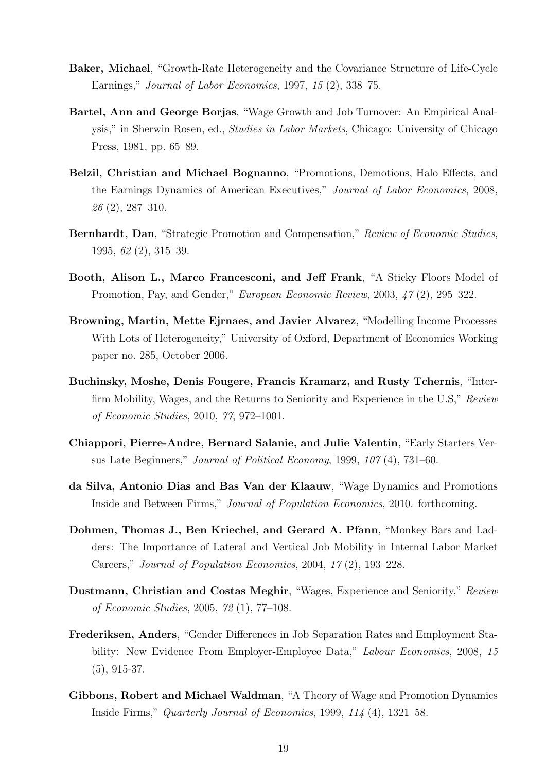- Baker, Michael, "Growth-Rate Heterogeneity and the Covariance Structure of Life-Cycle Earnings," Journal of Labor Economics, 1997, 15 (2), 338–75.
- Bartel, Ann and George Borjas, "Wage Growth and Job Turnover: An Empirical Analysis," in Sherwin Rosen, ed., Studies in Labor Markets, Chicago: University of Chicago Press, 1981, pp. 65–89.
- Belzil, Christian and Michael Bognanno, "Promotions, Demotions, Halo Effects, and the Earnings Dynamics of American Executives," Journal of Labor Economics, 2008, 26 (2), 287–310.
- Bernhardt, Dan, "Strategic Promotion and Compensation," Review of Economic Studies, 1995, 62 (2), 315–39.
- Booth, Alison L., Marco Francesconi, and Jeff Frank, "A Sticky Floors Model of Promotion, Pay, and Gender," European Economic Review, 2003, 47 (2), 295–322.
- Browning, Martin, Mette Ejrnaes, and Javier Alvarez, "Modelling Income Processes With Lots of Heterogeneity," University of Oxford, Department of Economics Working paper no. 285, October 2006.
- Buchinsky, Moshe, Denis Fougere, Francis Kramarz, and Rusty Tchernis, "Interfirm Mobility, Wages, and the Returns to Seniority and Experience in the U.S," Review of Economic Studies, 2010, 77, 972–1001.
- Chiappori, Pierre-Andre, Bernard Salanie, and Julie Valentin, "Early Starters Versus Late Beginners," Journal of Political Economy, 1999, 107 (4), 731–60.
- da Silva, Antonio Dias and Bas Van der Klaauw, "Wage Dynamics and Promotions Inside and Between Firms," Journal of Population Economics, 2010. forthcoming.
- Dohmen, Thomas J., Ben Kriechel, and Gerard A. Pfann, "Monkey Bars and Ladders: The Importance of Lateral and Vertical Job Mobility in Internal Labor Market Careers," Journal of Population Economics, 2004, 17 (2), 193–228.
- Dustmann, Christian and Costas Meghir, "Wages, Experience and Seniority," Review of Economic Studies, 2005, 72 (1), 77–108.
- Frederiksen, Anders, "Gender Differences in Job Separation Rates and Employment Stability: New Evidence From Employer-Employee Data," Labour Economics, 2008, 15 (5), 915-37.
- Gibbons, Robert and Michael Waldman, "A Theory of Wage and Promotion Dynamics Inside Firms," Quarterly Journal of Economics, 1999, 114 (4), 1321–58.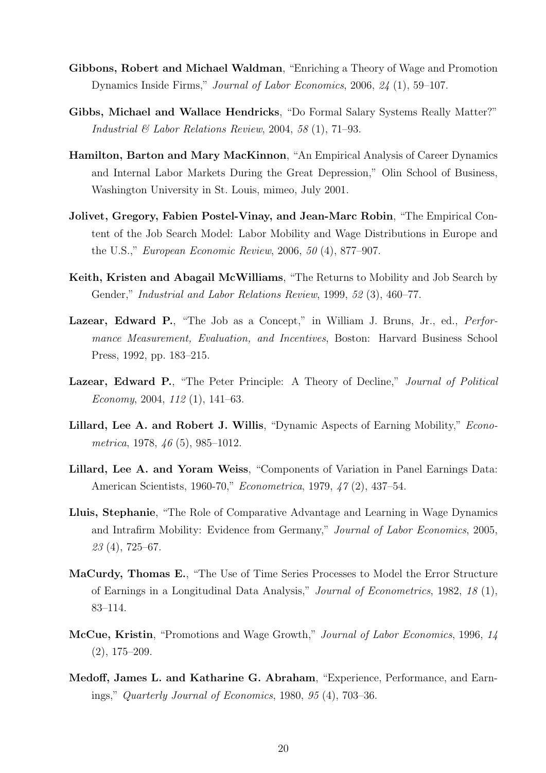- Gibbons, Robert and Michael Waldman, "Enriching a Theory of Wage and Promotion Dynamics Inside Firms," Journal of Labor Economics, 2006, 24 (1), 59–107.
- Gibbs, Michael and Wallace Hendricks, "Do Formal Salary Systems Really Matter?" Industrial  $\mathcal C$  Labor Relations Review, 2004, 58 (1), 71–93.
- Hamilton, Barton and Mary MacKinnon, "An Empirical Analysis of Career Dynamics and Internal Labor Markets During the Great Depression," Olin School of Business, Washington University in St. Louis, mimeo, July 2001.
- Jolivet, Gregory, Fabien Postel-Vinay, and Jean-Marc Robin, "The Empirical Content of the Job Search Model: Labor Mobility and Wage Distributions in Europe and the U.S.," European Economic Review, 2006, 50 (4), 877–907.
- Keith, Kristen and Abagail McWilliams, "The Returns to Mobility and Job Search by Gender," Industrial and Labor Relations Review, 1999, 52 (3), 460–77.
- Lazear, Edward P., "The Job as a Concept," in William J. Bruns, Jr., ed., *Perfor*mance Measurement, Evaluation, and Incentives, Boston: Harvard Business School Press, 1992, pp. 183–215.
- Lazear, Edward P., "The Peter Principle: A Theory of Decline," Journal of Political Economy, 2004, 112 (1), 141–63.
- Lillard, Lee A. and Robert J. Willis, "Dynamic Aspects of Earning Mobility," *Econo*metrica, 1978, 46 (5), 985–1012.
- Lillard, Lee A. and Yoram Weiss, "Components of Variation in Panel Earnings Data: American Scientists, 1960-70," Econometrica, 1979, 47 (2), 437–54.
- Lluis, Stephanie, "The Role of Comparative Advantage and Learning in Wage Dynamics and Intrafirm Mobility: Evidence from Germany," Journal of Labor Economics, 2005, 23 (4), 725–67.
- MaCurdy, Thomas E., "The Use of Time Series Processes to Model the Error Structure of Earnings in a Longitudinal Data Analysis," Journal of Econometrics, 1982, 18 (1), 83–114.
- McCue, Kristin, "Promotions and Wage Growth," Journal of Labor Economics, 1996, 14 (2), 175–209.
- Medoff, James L. and Katharine G. Abraham, "Experience, Performance, and Earnings," Quarterly Journal of Economics, 1980, 95 (4), 703–36.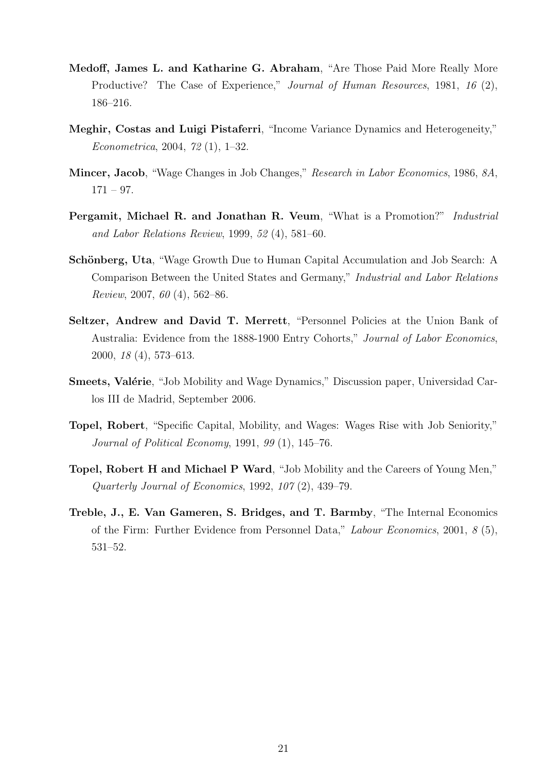- Medoff, James L. and Katharine G. Abraham, "Are Those Paid More Really More Productive? The Case of Experience," Journal of Human Resources, 1981, 16 (2), 186–216.
- Meghir, Costas and Luigi Pistaferri, "Income Variance Dynamics and Heterogeneity," Econometrica, 2004, 72 (1), 1–32.
- Mincer, Jacob, "Wage Changes in Job Changes," Research in Labor Economics, 1986, 8A,  $171 - 97.$
- Pergamit, Michael R. and Jonathan R. Veum, "What is a Promotion?" Industrial and Labor Relations Review, 1999, 52 (4), 581–60.
- Schönberg, Uta, "Wage Growth Due to Human Capital Accumulation and Job Search: A Comparison Between the United States and Germany," Industrial and Labor Relations Review, 2007, 60 (4), 562–86.
- Seltzer, Andrew and David T. Merrett, "Personnel Policies at the Union Bank of Australia: Evidence from the 1888-1900 Entry Cohorts," Journal of Labor Economics, 2000, 18 (4), 573–613.
- **Smeets, Valérie**, "Job Mobility and Wage Dynamics," Discussion paper, Universidad Carlos III de Madrid, September 2006.
- Topel, Robert, "Specific Capital, Mobility, and Wages: Wages Rise with Job Seniority," Journal of Political Economy, 1991, 99 (1), 145–76.
- Topel, Robert H and Michael P Ward, "Job Mobility and the Careers of Young Men," Quarterly Journal of Economics, 1992, 107 (2), 439–79.
- Treble, J., E. Van Gameren, S. Bridges, and T. Barmby, "The Internal Economics of the Firm: Further Evidence from Personnel Data," Labour Economics, 2001, 8 (5), 531–52.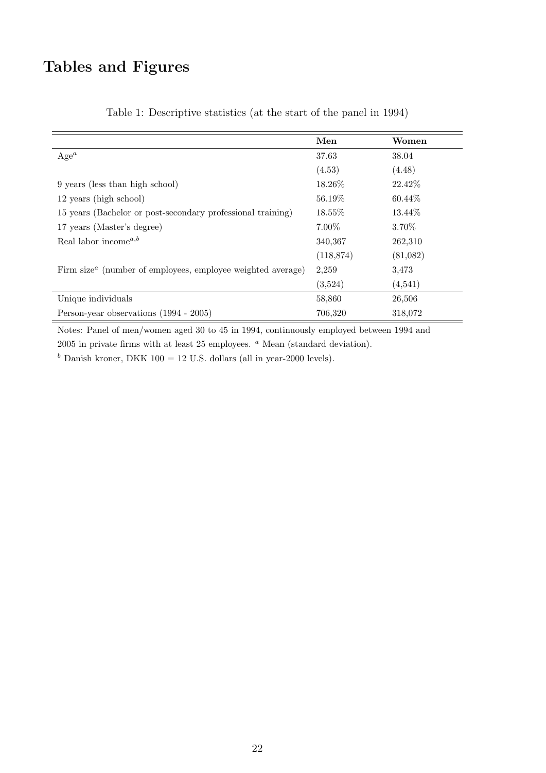# Tables and Figures

|                                                                                      | Men        | Women    |
|--------------------------------------------------------------------------------------|------------|----------|
| $Age^a$                                                                              | 37.63      | 38.04    |
|                                                                                      | (4.53)     | (4.48)   |
| 9 years (less than high school)                                                      | 18.26\%    | 22.42\%  |
| 12 years (high school)                                                               | 56.19%     | 60.44\%  |
| 15 years (Bachelor or post-secondary professional training)                          | $18.55\%$  | 13.44\%  |
| 17 years (Master's degree)                                                           | $7.00\%$   | 3.70\%   |
| Real labor income <sup><math>a,b</math></sup>                                        | 340,367    | 262,310  |
|                                                                                      | (118, 874) | (81,082) |
| Firm size <sup><math>a</math></sup> (number of employees, employee weighted average) | 2,259      | 3.473    |
|                                                                                      | (3,524)    | (4,541)  |
| Unique individuals                                                                   | 58,860     | 26,506   |
| Person-year observations (1994 - 2005)                                               | 706,320    | 318,072  |

<span id="page-23-0"></span>Table 1: Descriptive statistics (at the start of the panel in 1994)

Notes: Panel of men/women aged 30 to 45 in 1994, continuously employed between 1994 and  $2005$  in private firms with at least  $25$  employees.  $a$  Mean (standard deviation).

 $<sup>b</sup>$  Danish kroner, DKK 100 = 12 U.S. dollars (all in year-2000 levels).</sup>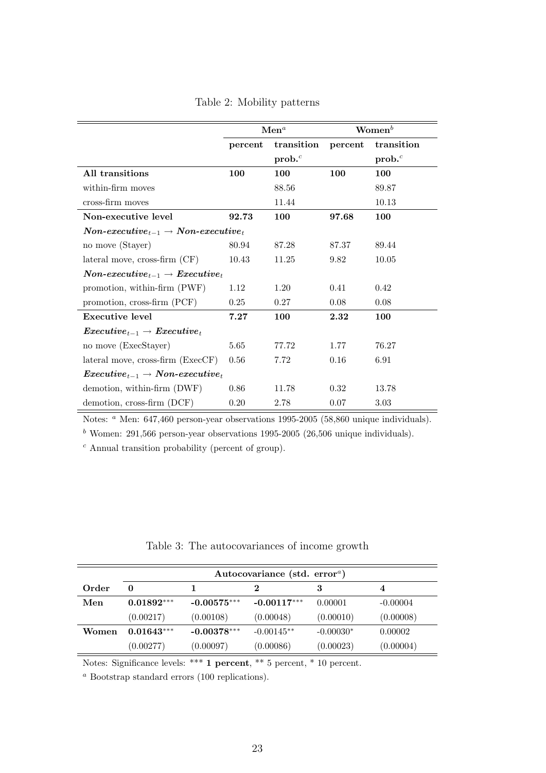|                                                                             |         | $\mathbf{Men}^a$  |         | $\mathbf{Women}^b$ |
|-----------------------------------------------------------------------------|---------|-------------------|---------|--------------------|
|                                                                             | percent | transition        | percent | transition         |
|                                                                             |         | prob <sup>c</sup> |         | prob <sup>c</sup>  |
| All transitions                                                             | 100     | 100               | 100     | 100                |
| within-firm moves                                                           |         | 88.56             |         | 89.87              |
| cross-firm moves                                                            |         | 11.44             |         | 10.13              |
| Non-executive level                                                         | 92.73   | 100               | 97.68   | 100                |
| $\label{eq:non-exsecutive} Non-exective_{t-1} \rightarrow Non-exective_{t}$ |         |                   |         |                    |
| no move (Stayer)                                                            | 80.94   | 87.28             | 87.37   | 89.44              |
| $\lambda$ hateral move, cross-firm $(CF)$                                   | 10.43   | 11.25             | 9.82    | 10.05              |
| $\emph{Non-exective}_{t-1} \rightarrow \emph{Execute}_{t}$                  |         |                   |         |                    |
| promotion, within-firm (PWF)                                                | 1.12    | 1.20              | 0.41    | 0.42               |
| promotion, cross-firm (PCF)                                                 | 0.25    | 0.27              | 0.08    | 0.08               |
| Executive level                                                             | 7.27    | 100               | 2.32    | 100                |
| $\boldsymbol{Execute}_{t-1} \rightarrow \boldsymbol{Execute}_{t}$           |         |                   |         |                    |
| no move (ExecStayer)                                                        | 5.65    | 77.72             | 1.77    | 76.27              |
| lateral move, cross-firm (ExecCF)                                           | 0.56    | 7.72              | 0.16    | 6.91               |
| $\emph{Execute}_{t-1} \rightarrow \emph{Non-executive}_{t}$                 |         |                   |         |                    |
| demotion, within-firm (DWF)                                                 | 0.86    | 11.78             | 0.32    | 13.78              |
| demotion, cross-firm (DCF)                                                  | 0.20    | 2.78              | 0.07    | 3.03               |

<span id="page-24-0"></span>Table 2: Mobility patterns

Notes: <sup>a</sup> Men: 647,460 person-year observations 1995-2005 (58,860 unique individuals).

<sup>b</sup> Women: 291,566 person-year observations 1995-2005 (26,506 unique individuals).

 $c$  Annual transition probability (percent of group).

<span id="page-24-1"></span>

| Table 3: The autocovariances of income growth |  |
|-----------------------------------------------|--|
|                                               |  |

|       | Autocovariance (std. error <sup>a</sup> ) |               |               |             |            |  |  |
|-------|-------------------------------------------|---------------|---------------|-------------|------------|--|--|
| Order | 0                                         |               |               | 3           |            |  |  |
| Men   | $0.01892***$                              | $-0.00575***$ | $-0.00117***$ | 0.00001     | $-0.00004$ |  |  |
|       | (0.00217)                                 | (0.00108)     | (0.00048)     | (0.00010)   | (0.00008)  |  |  |
| Women | $0.01643***$                              | $-0.00378***$ | $-0.00145**$  | $-0.00030*$ | 0.00002    |  |  |
|       | (0.00277)                                 | (0.00097)     | (0.00086)     | (0.00023)   | (0.00004)  |  |  |

Notes: Significance levels: \*\*\* 1 percent, \*\* 5 percent, \* 10 percent.

<sup>a</sup> Bootstrap standard errors (100 replications).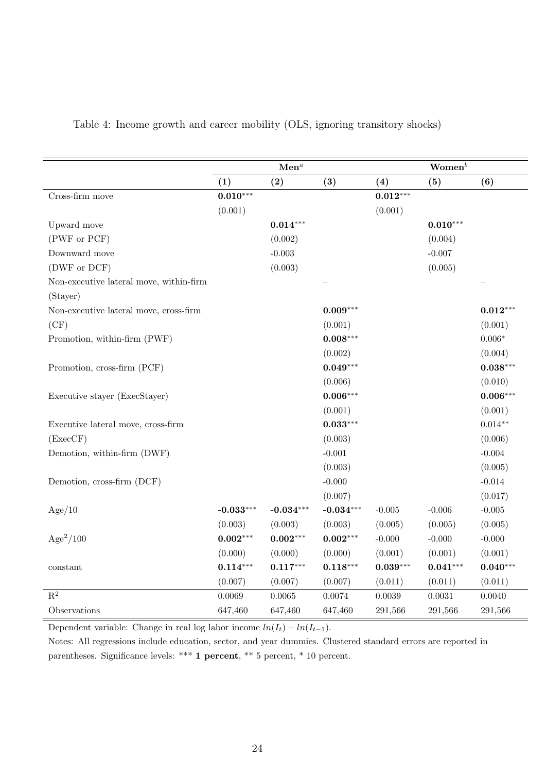|                                         | $\mathbf{Men}^a$ |             |             | $\mathbf{Women}^b$ |            |            |
|-----------------------------------------|------------------|-------------|-------------|--------------------|------------|------------|
|                                         | (1)              | (2)         | (3)         | (4)                | (5)        | (6)        |
| Cross-firm move                         | $0.010***$       |             |             | $0.012***$         |            |            |
|                                         | (0.001)          |             |             | (0.001)            |            |            |
| Upward move                             |                  | $0.014***$  |             |                    | $0.010***$ |            |
| (PWF or PCF)                            |                  | (0.002)     |             |                    | (0.004)    |            |
| Downward move                           |                  | $-0.003$    |             |                    | $-0.007$   |            |
| (DWF or DCF)                            |                  | (0.003)     |             |                    | (0.005)    |            |
| Non-executive lateral move, within-firm |                  |             |             |                    |            |            |
| (Stayer)                                |                  |             |             |                    |            |            |
| Non-executive lateral move, cross-firm  |                  |             | $0.009***$  |                    |            | $0.012***$ |
| (CF)                                    |                  |             | (0.001)     |                    |            | (0.001)    |
| Promotion, within-firm (PWF)            |                  |             | $0.008***$  |                    |            | $0.006*$   |
|                                         |                  |             | (0.002)     |                    |            | (0.004)    |
| Promotion, cross-firm (PCF)             |                  |             | $0.049***$  |                    |            | $0.038***$ |
|                                         |                  |             | (0.006)     |                    |            | (0.010)    |
| Executive stayer (ExecStayer)           |                  |             | $0.006***$  |                    |            | $0.006***$ |
|                                         |                  |             | (0.001)     |                    |            | (0.001)    |
| Executive lateral move, cross-firm      |                  |             | $0.033***$  |                    |            | $0.014**$  |
| (ExecCF)                                |                  |             | (0.003)     |                    |            | (0.006)    |
| Demotion, within-firm (DWF)             |                  |             | $-0.001$    |                    |            | $-0.004$   |
|                                         |                  |             | (0.003)     |                    |            | (0.005)    |
| Demotion, cross-firm (DCF)              |                  |             | $-0.000$    |                    |            | $-0.014$   |
|                                         |                  |             | (0.007)     |                    |            | (0.017)    |
| Age/10                                  | $-0.033***$      | $-0.034***$ | $-0.034***$ | $-0.005$           | $-0.006$   | $-0.005$   |
|                                         | (0.003)          | (0.003)     | (0.003)     | (0.005)            | (0.005)    | (0.005)    |
| $Age^2/100$                             | $0.002***$       | $0.002***$  | $0.002***$  | $-0.000$           | $-0.000$   | $-0.000$   |
|                                         | (0.000)          | (0.000)     | (0.000)     | (0.001)            | (0.001)    | (0.001)    |
| constant                                | $0.114***$       | $0.117***$  | $0.118***$  | $0.039***$         | $0.041***$ | $0.040***$ |
|                                         | (0.007)          | (0.007)     | (0.007)     | (0.011)            | (0.011)    | (0.011)    |
| $\mathbf{R}^2$                          | 0.0069           | 0.0065      | 0.0074      | 0.0039             | 0.0031     | 0.0040     |
| Observations                            | 647,460          | 647,460     | 647,460     | 291,566            | 291,566    | 291,566    |

#### <span id="page-25-0"></span>Table 4: Income growth and career mobility (OLS, ignoring transitory shocks)

Dependent variable: Change in real log labor income  $ln(I_t) - ln(I_{t-1})$ .

Notes: All regressions include education, sector, and year dummies. Clustered standard errors are reported in parentheses. Significance levels: \*\*\* 1 percent, \*\* 5 percent, \* 10 percent.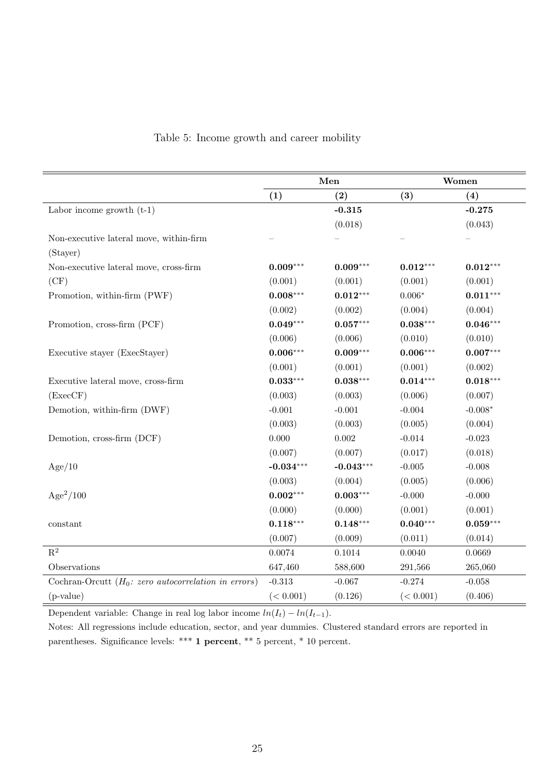|                                                              |             | Men         |            | Women      |
|--------------------------------------------------------------|-------------|-------------|------------|------------|
|                                                              | (1)         | (2)         | (3)        | (4)        |
| Labor income growth $(t-1)$                                  |             | $-0.315$    |            | $-0.275$   |
|                                                              |             | (0.018)     |            | (0.043)    |
| Non-executive lateral move, within-firm                      |             |             |            |            |
| (Stayer)                                                     |             |             |            |            |
| Non-executive lateral move, cross-firm                       | $0.009***$  | $0.009***$  | $0.012***$ | $0.012***$ |
| (CF)                                                         | (0.001)     | (0.001)     | (0.001)    | (0.001)    |
| Promotion, within-firm (PWF)                                 | $0.008***$  | $0.012***$  | $0.006*$   | $0.011***$ |
|                                                              | (0.002)     | (0.002)     | (0.004)    | (0.004)    |
| Promotion, cross-firm (PCF)                                  | $0.049***$  | $0.057***$  | $0.038***$ | $0.046***$ |
|                                                              | (0.006)     | (0.006)     | (0.010)    | (0.010)    |
| Executive stayer (ExecStayer)                                | $0.006***$  | $0.009***$  | $0.006***$ | $0.007***$ |
|                                                              | (0.001)     | (0.001)     | (0.001)    | (0.002)    |
| Executive lateral move, cross-firm                           | $0.033***$  | $0.038***$  | $0.014***$ | $0.018***$ |
| (ExecCF)                                                     | (0.003)     | (0.003)     | (0.006)    | (0.007)    |
| Demotion, within-firm (DWF)                                  | $-0.001$    | $-0.001$    | $-0.004$   | $-0.008*$  |
|                                                              | (0.003)     | (0.003)     | (0.005)    | (0.004)    |
| Demotion, cross-firm (DCF)                                   | 0.000       | 0.002       | $-0.014$   | $-0.023$   |
|                                                              | (0.007)     | (0.007)     | (0.017)    | (0.018)    |
| Age/10                                                       | $-0.034***$ | $-0.043***$ | $-0.005$   | $-0.008$   |
|                                                              | (0.003)     | (0.004)     | (0.005)    | (0.006)    |
| $Age^2/100$                                                  | $0.002***$  | $0.003***$  | $-0.000$   | $-0.000$   |
|                                                              | (0.000)     | (0.000)     | (0.001)    | (0.001)    |
| constant                                                     | $0.118***$  | $0.148***$  | $0.040***$ | $0.059***$ |
|                                                              | (0.007)     | (0.009)     | (0.011)    | (0.014)    |
| $\mathbf{R}^2$                                               | 0.0074      | 0.1014      | 0.0040     | 0.0669     |
| Observations                                                 | 647,460     | 588,600     | 291,566    | 265,060    |
| Cochran-Orcutt $(H_0: zero \ autocorrelation \ in \ errors)$ | $-0.313$    | $-0.067$    | $-0.274$   | $-0.058$   |
| $(p-value)$                                                  | (< 0.001)   | (0.126)     | (< 0.001)  | (0.406)    |

### <span id="page-26-0"></span>Table 5: Income growth and career mobility

Dependent variable: Change in real log labor income  $ln(I_t) - ln(I_{t-1})$ .

Notes: All regressions include education, sector, and year dummies. Clustered standard errors are reported in parentheses. Significance levels: \*\*\* 1 percent, \*\* 5 percent, \* 10 percent.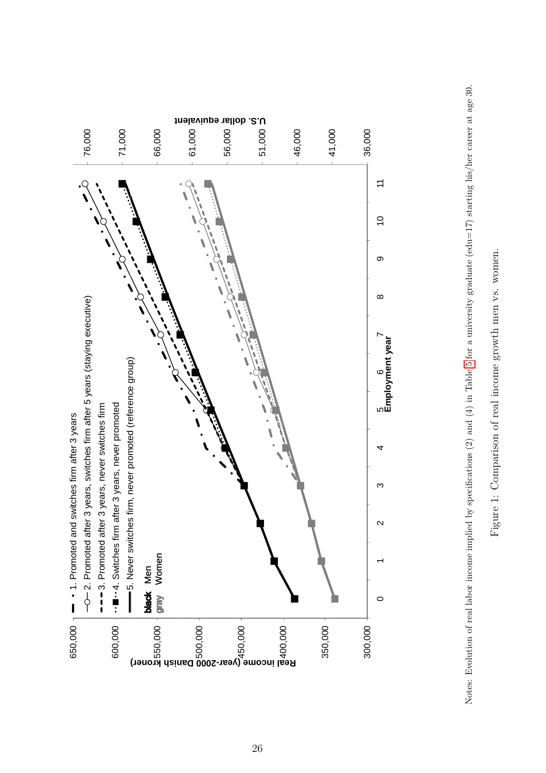

<span id="page-27-0"></span>

Figure 1: Comparison of real income growth men vs. women.

Figure 1: Comparison of real income growth men vs. women.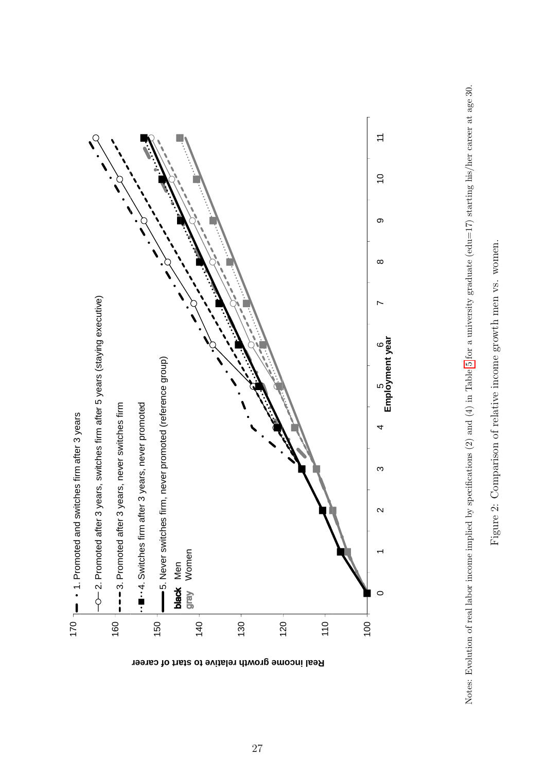

<span id="page-28-0"></span>

Figure 2: Comparison of relative income growth men vs. women. Figure 2: Comparison of relative income growth men vs. women.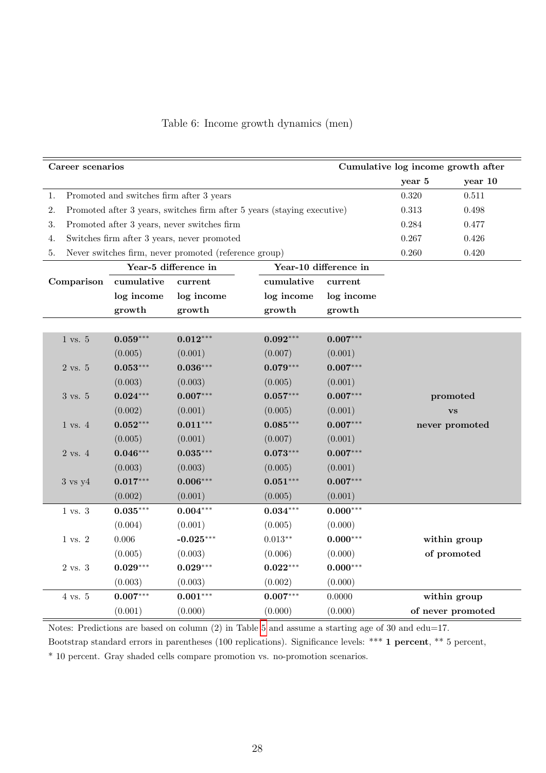| Cumulative log income growth after<br>Career scenarios |                                          |                                                                         |            |                       |          |                   |
|--------------------------------------------------------|------------------------------------------|-------------------------------------------------------------------------|------------|-----------------------|----------|-------------------|
|                                                        |                                          |                                                                         |            |                       | year 5   | year 10           |
| 1.                                                     | Promoted and switches firm after 3 years |                                                                         |            |                       | 0.320    | 0.511             |
| 2.                                                     |                                          | Promoted after 3 years, switches firm after 5 years (staying executive) |            |                       | 0.313    | 0.498             |
| 3.                                                     |                                          | Promoted after 3 years, never switches firm                             |            |                       | 0.284    | 0.477             |
| 4.                                                     |                                          | Switches firm after 3 years, never promoted                             |            |                       | 0.267    | 0.426             |
| 5.                                                     |                                          | Never switches firm, never promoted (reference group)                   |            |                       | 0.260    | 0.420             |
|                                                        |                                          | Year-5 difference in                                                    |            | Year-10 difference in |          |                   |
| Comparison                                             | cumulative                               | current                                                                 | cumulative | current               |          |                   |
|                                                        | log income                               | log income                                                              | log income | log income            |          |                   |
|                                                        | growth                                   | growth                                                                  | growth     | growth                |          |                   |
|                                                        |                                          |                                                                         |            |                       |          |                   |
| $1$ vs. $5$                                            | $0.059***$                               | $0.012***$                                                              | $0.092***$ | $0.007***$            |          |                   |
|                                                        | (0.005)                                  | (0.001)                                                                 | (0.007)    | (0.001)               |          |                   |
| 2 vs. 5                                                | $0.053***$                               | $0.036***$                                                              | $0.079***$ | $0.007***$            |          |                   |
|                                                        | (0.003)                                  | (0.003)                                                                 | (0.005)    | (0.001)               |          |                   |
| 3 vs. 5                                                | $0.024***$                               | $0.007***$                                                              | $0.057***$ | $0.007***$            | promoted |                   |
|                                                        | (0.002)                                  | (0.001)                                                                 | (0.005)    | (0.001)               |          | <b>VS</b>         |
| $1 \text{ vs. } 4$                                     | $0.052***$                               | $0.011***$                                                              | $0.085***$ | $0.007***$            |          | never promoted    |
|                                                        | (0.005)                                  | (0.001)                                                                 | (0.007)    | (0.001)               |          |                   |
| $2$ vs. $4$                                            | $0.046***$                               | $0.035***$                                                              | $0.073***$ | $0.007***$            |          |                   |
|                                                        | (0.003)                                  | (0.003)                                                                 | (0.005)    | (0.001)               |          |                   |
| $3 \text{ vs } y4$                                     | $0.017***$                               | $0.006***$                                                              | $0.051***$ | $0.007***$            |          |                   |
|                                                        | (0.002)                                  | (0.001)                                                                 | (0.005)    | (0.001)               |          |                   |
| $1 \text{ vs. } 3$                                     | $0.035***$                               | $0.004***$                                                              | $0.034***$ | $0.000***$            |          |                   |
|                                                        | (0.004)                                  | (0.001)                                                                 | (0.005)    | (0.000)               |          |                   |
| 1 vs. 2                                                | 0.006                                    | $-0.025***$                                                             | $0.013**$  | $0.000***$            |          | within group      |
|                                                        | (0.005)                                  | (0.003)                                                                 | (0.006)    | (0.000)               |          | of promoted       |
| 2 vs. 3                                                | $0.029***$                               | $0.029***$                                                              | $0.022***$ | $0.000***$            |          |                   |
|                                                        | (0.003)                                  | (0.003)                                                                 | (0.002)    | (0.000)               |          |                   |
| 4 vs. 5                                                | $0.007***$                               | $0.001***$                                                              | $0.007***$ | 0.0000                |          | within group      |
|                                                        | (0.001)                                  | (0.000)                                                                 | (0.000)    | (0.000)               |          | of never promoted |

<span id="page-29-0"></span>

|  |  |  | Table 6: Income growth dynamics (men) |  |  |
|--|--|--|---------------------------------------|--|--|
|--|--|--|---------------------------------------|--|--|

Notes: Predictions are based on column (2) in Table [5](#page-26-0) and assume a starting age of 30 and edu=17.

Bootstrap standard errors in parentheses (100 replications). Significance levels: \*\*\* 1 percent, \*\* 5 percent,

\* 10 percent. Gray shaded cells compare promotion vs. no-promotion scenarios.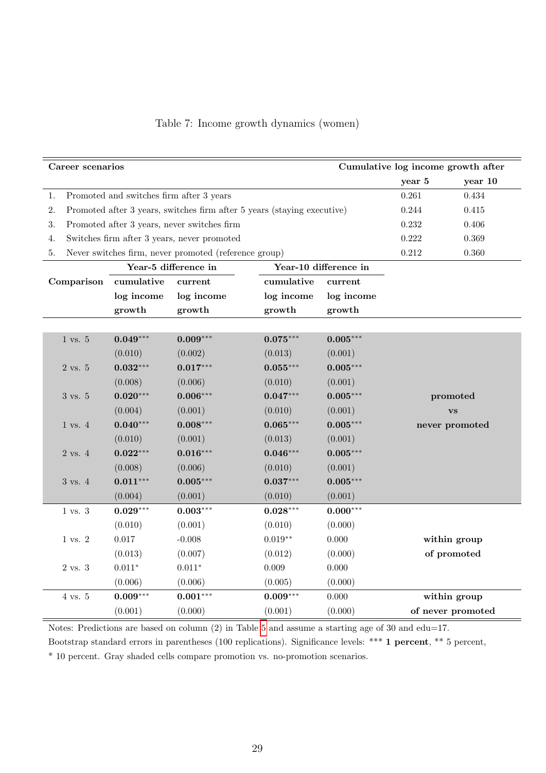| Cumulative log income growth after<br>Career scenarios |                                          |                                                       |                                                                         |                       |           |                   |
|--------------------------------------------------------|------------------------------------------|-------------------------------------------------------|-------------------------------------------------------------------------|-----------------------|-----------|-------------------|
|                                                        |                                          |                                                       |                                                                         |                       | year 5    | year 10           |
| 1.                                                     | Promoted and switches firm after 3 years |                                                       |                                                                         |                       | 0.261     | 0.434             |
| 2.                                                     |                                          |                                                       | Promoted after 3 years, switches firm after 5 years (staying executive) |                       | 0.244     | 0.415             |
| 3.                                                     |                                          | Promoted after 3 years, never switches firm           |                                                                         |                       | $0.232\,$ | 0.406             |
| 4.                                                     |                                          | Switches firm after 3 years, never promoted           |                                                                         |                       | $0.222\,$ | 0.369             |
| 5.                                                     |                                          | Never switches firm, never promoted (reference group) |                                                                         |                       | $0.212\,$ | 0.360             |
|                                                        |                                          | Year-5 difference in                                  |                                                                         | Year-10 difference in |           |                   |
| Comparison                                             | cumulative                               | current                                               | cumulative                                                              | current               |           |                   |
|                                                        | log income                               | log income                                            | log income                                                              | log income            |           |                   |
|                                                        | growth                                   | growth                                                | growth                                                                  | growth                |           |                   |
|                                                        |                                          |                                                       |                                                                         |                       |           |                   |
| $1 \text{ vs. } 5$                                     | $0.049***$                               | $0.009***$                                            | $0.075***$                                                              | $0.005***$            |           |                   |
|                                                        | (0.010)                                  | (0.002)                                               | (0.013)                                                                 | (0.001)               |           |                   |
| 2 vs. 5                                                | $0.032***$                               | $0.017***$                                            | $0.055***$                                                              | $0.005***$            |           |                   |
|                                                        | (0.008)                                  | (0.006)                                               | (0.010)                                                                 | (0.001)               |           |                   |
| 3 vs. 5                                                | $0.020***$                               | $0.006***$                                            | $0.047***$                                                              | $0.005***$            |           | promoted          |
|                                                        | (0.004)                                  | (0.001)                                               | (0.010)                                                                 | (0.001)               |           | <b>VS</b>         |
| $1 \text{ vs. } 4$                                     | $0.040***$                               | $0.008***$                                            | $0.065***$                                                              | $0.005***$            |           | never promoted    |
|                                                        | (0.010)                                  | (0.001)                                               | (0.013)                                                                 | (0.001)               |           |                   |
| $2$ vs. $4$                                            | $0.022***$                               | $0.016***$                                            | $0.046***$                                                              | $0.005***$            |           |                   |
|                                                        | (0.008)                                  | (0.006)                                               | (0.010)                                                                 | (0.001)               |           |                   |
| 3 vs. 4                                                | $0.011***$                               | $0.005***$                                            | $0.037***$                                                              | $0.005***$            |           |                   |
|                                                        | (0.004)                                  | (0.001)                                               | (0.010)                                                                 | (0.001)               |           |                   |
| $1$ vs. $3$                                            | $0.029***$                               | $0.003***$                                            | $0.028***$                                                              | $0.000***$            |           |                   |
|                                                        | (0.010)                                  | (0.001)                                               | (0.010)                                                                 | (0.000)               |           |                   |
| $1$ vs. $2$                                            | $0.017\,$                                | $-0.008$                                              | $0.019**$                                                               | $0.000\,$             |           | within group      |
|                                                        | (0.013)                                  | (0.007)                                               | (0.012)                                                                 | (0.000)               |           | of promoted       |
| 2 vs. 3                                                | $0.011*$                                 | $0.011*$                                              | 0.009                                                                   | 0.000                 |           |                   |
|                                                        | (0.006)                                  | (0.006)                                               | (0.005)                                                                 | (0.000)               |           |                   |
| 4 vs. 5                                                | $0.009***$                               | $0.001***$                                            | $0.009***$                                                              | 0.000                 |           | within group      |
|                                                        | (0.001)                                  | (0.000)                                               | (0.001)                                                                 | (0.000)               |           | of never promoted |

<span id="page-30-0"></span>

|  | Table 7: Income growth dynamics (women) |  |
|--|-----------------------------------------|--|
|  |                                         |  |
|  |                                         |  |

Notes: Predictions are based on column (2) in Table [5](#page-26-0) and assume a starting age of 30 and edu=17.

Bootstrap standard errors in parentheses (100 replications). Significance levels: \*\*\* 1 percent, \*\* 5 percent,

\* 10 percent. Gray shaded cells compare promotion vs. no-promotion scenarios.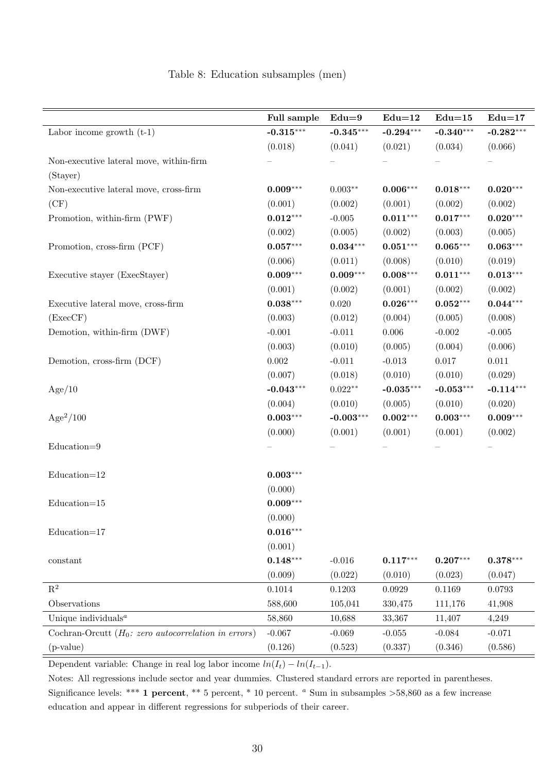|                                                              | Full sample | $Edu=9$                | $Edu=12$     | $Edu=15$    | $Edu=17$    |
|--------------------------------------------------------------|-------------|------------------------|--------------|-------------|-------------|
| Labor income growth $(t-1)$                                  | $-0.315***$ | $-0.345***$            | $-0.294***$  | $-0.340***$ | $-0.282***$ |
|                                                              | (0.018)     | (0.041)                | (0.021)      | (0.034)     | (0.066)     |
| Non-executive lateral move, within-firm                      |             |                        |              |             |             |
| (Stayer)                                                     |             |                        |              |             |             |
| Non-executive lateral move, cross-firm                       | $0.009***$  | $0.003**$              | $0.006***$   | $0.018***$  | $0.020***$  |
| (CF)                                                         | (0.001)     | (0.002)                | (0.001)      | (0.002)     | (0.002)     |
| Promotion, within-firm (PWF)                                 | $0.012***$  | $-0.005$               | $0.011***$   | $0.017***$  | $0.020***$  |
|                                                              | (0.002)     | (0.005)                | (0.002)      | (0.003)     | (0.005)     |
| Promotion, cross-firm (PCF)                                  | $0.057***$  | $\mathbf{0.034}^{***}$ | $0.051***$   | $0.065***$  | $0.063***$  |
|                                                              | (0.006)     | (0.011)                | (0.008)      | (0.010)     | (0.019)     |
| Executive stayer (ExecStayer)                                | $0.009***$  | $0.009***$             | $0.008***$   | $0.011***$  | $0.013***$  |
|                                                              | (0.001)     | (0.002)                | (0.001)      | (0.002)     | (0.002)     |
| Executive lateral move, cross-firm                           | $0.038***$  | $0.020\,$              | $0.026***$   | $0.052***$  | $0.044***$  |
| (ExecCF)                                                     | (0.003)     | (0.012)                | (0.004)      | (0.005)     | (0.008)     |
| Demotion, within-firm (DWF)                                  | $-0.001$    | $-0.011$               | $0.006\,$    | $-0.002$    | $-0.005$    |
|                                                              | (0.003)     | (0.010)                | (0.005)      | (0.004)     | (0.006)     |
| Demotion, cross-firm (DCF)                                   | $0.002\,$   | $-0.011$               | $-0.013$     | $0.017\,$   | $0.011\,$   |
|                                                              | (0.007)     | (0.018)                | (0.010)      | (0.010)     | (0.029)     |
| Age/10                                                       | $-0.043***$ | $0.022**$              | $-0.035***$  | $-0.053***$ | $-0.114***$ |
|                                                              | (0.004)     | (0.010)                | (0.005)      | (0.010)     | (0.020)     |
| $Age^2/100$                                                  | $0.003***$  | $-0.003***$            | $0.002***$   | $0.003***$  | $0.009***$  |
|                                                              | (0.000)     | (0.001)                | (0.001)      | (0.001)     | (0.002)     |
| Education=9                                                  |             |                        |              |             |             |
|                                                              |             |                        |              |             |             |
| $Education=12$                                               | $0.003***$  |                        |              |             |             |
|                                                              | (0.000)     |                        |              |             |             |
| $Education=15$                                               | $0.009***$  |                        |              |             |             |
|                                                              | (0.000)     |                        |              |             |             |
| $Education=17$                                               | $0.016***$  |                        |              |             |             |
|                                                              | (0.001)     |                        |              |             |             |
| constant                                                     | $0.148***$  | $-0.016$               | $0.117***$   | $0.207***$  | $0.378***$  |
|                                                              | (0.009)     | (0.022)                | (0.010)      | (0.023)     | (0.047)     |
| $\mathbf{R}^2$                                               | 0.1014      | 0.1203                 | $\,0.0929\,$ | 0.1169      | 0.0793      |
| Observations                                                 | 588,600     | 105,041                | 330,475      | 111,176     | 41,908      |
| Unique individuals <sup><math>a</math></sup>                 | 58,860      | 10,688                 | 33,367       | 11,407      | 4,249       |
| Cochran-Orcutt $(H_0: zero \ autocorrelation \ in \ errors)$ | $-0.067$    | $-0.069$               | $-0.055$     | $-0.084$    | $-0.071$    |
| (p-value)                                                    | (0.126)     | (0.523)                | (0.337)      | (0.346)     | (0.586)     |

#### <span id="page-31-0"></span>Table 8: Education subsamples (men)

Dependent variable: Change in real log labor income  $ln(I_t) - ln(I_{t-1})$ .

Notes: All regressions include sector and year dummies. Clustered standard errors are reported in parentheses. Significance levels: \*\*\* 1 percent, \*\* 5 percent, \* 10 percent.  $a$  Sum in subsamples  $>58,860$  as a few increase education and appear in different regressions for subperiods of their career.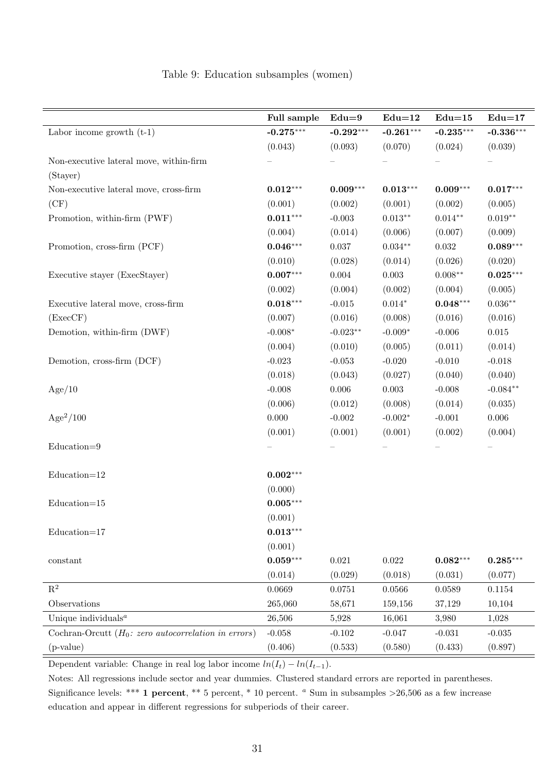|                                                              | Full sample | $Edu=9$     | $Edu=12$       | $Edu=15$    | $Edu=17$    |
|--------------------------------------------------------------|-------------|-------------|----------------|-------------|-------------|
| Labor income growth $(t-1)$                                  | $-0.275***$ | $-0.292***$ | $-0.261***$    | $-0.235***$ | $-0.336***$ |
|                                                              | (0.043)     | (0.093)     | (0.070)        | (0.024)     | (0.039)     |
| Non-executive lateral move, within-firm                      |             |             |                |             |             |
| (Stayer)                                                     |             |             |                |             |             |
| Non-executive lateral move, cross-firm                       | $0.012***$  | $0.009***$  | $0.013***$     | $0.009***$  | $0.017***$  |
| (CF)                                                         | (0.001)     | (0.002)     | (0.001)        | (0.002)     | (0.005)     |
| Promotion, within-firm (PWF)                                 | $0.011***$  | $-0.003$    | $0.013**$      | $0.014**$   | $0.019**$   |
|                                                              | (0.004)     | (0.014)     | (0.006)        | (0.007)     | (0.009)     |
| Promotion, cross-firm (PCF)                                  | $0.046***$  | $0.037\,$   | $0.034**$      | $\,0.032\,$ | $0.089***$  |
|                                                              | (0.010)     | (0.028)     | (0.014)        | (0.026)     | (0.020)     |
| Executive stayer (ExecStayer)                                | $0.007***$  | $0.004\,$   | 0.003          | $0.008**$   | $0.025***$  |
|                                                              | (0.002)     | (0.004)     | (0.002)        | (0.004)     | (0.005)     |
| Executive lateral move, cross-firm                           | $0.018***$  | $-0.015$    | $0.014^{\ast}$ | $0.048***$  | $0.036**$   |
| (ExecCF)                                                     | (0.007)     | (0.016)     | (0.008)        | (0.016)     | (0.016)     |
| Demotion, within-firm (DWF)                                  | $-0.008*$   | $-0.023**$  | $-0.009*$      | $-0.006$    | $\,0.015\,$ |
|                                                              | (0.004)     | (0.010)     | (0.005)        | (0.011)     | (0.014)     |
| Demotion, cross-firm (DCF)                                   | $-0.023$    | $-0.053$    | $-0.020$       | $-0.010$    | $-0.018$    |
|                                                              | (0.018)     | (0.043)     | (0.027)        | (0.040)     | (0.040)     |
| Age/10                                                       | $-0.008$    | $0.006\,$   | $0.003\,$      | $-0.008$    | $-0.084**$  |
|                                                              | (0.006)     | (0.012)     | (0.008)        | (0.014)     | (0.035)     |
| $Age^2/100$                                                  | 0.000       | $-0.002$    | $-0.002*$      | $-0.001$    | $0.006\,$   |
|                                                              | (0.001)     | (0.001)     | (0.001)        | (0.002)     | (0.004)     |
| $Education=9$                                                |             |             |                |             |             |
|                                                              |             |             |                |             |             |
| $Education=12$                                               | $0.002***$  |             |                |             |             |
|                                                              | (0.000)     |             |                |             |             |
| $Education=15$                                               | $0.005***$  |             |                |             |             |
|                                                              | (0.001)     |             |                |             |             |
| $Education=17$                                               | $0.013***$  |             |                |             |             |
|                                                              | (0.001)     |             |                |             |             |
| constant                                                     | $0.059***$  | 0.021       | $0.022\,$      | $0.082***$  | $0.285***$  |
|                                                              | (0.014)     | (0.029)     | (0.018)        | (0.031)     | (0.077)     |
| $\mathbf{R}^2$                                               | 0.0669      | 0.0751      | 0.0566         | 0.0589      | 0.1154      |
| Observations                                                 | 265,060     | 58,671      | 159,156        | 37,129      | 10,104      |
| Unique individuals $^a$                                      | 26,506      | 5,928       | 16,061         | 3,980       | 1,028       |
| Cochran-Orcutt $(H_0: zero \ autocorrelation \ in \ errors)$ | $-0.058$    | $-0.102$    | $-0.047$       | $-0.031$    | $-0.035$    |
| $(p-value)$                                                  | (0.406)     | (0.533)     | (0.580)        | (0.433)     | (0.897)     |

#### <span id="page-32-0"></span>Table 9: Education subsamples (women)

Dependent variable: Change in real log labor income  $ln(I_t) - ln(I_{t-1})$ .

Notes: All regressions include sector and year dummies. Clustered standard errors are reported in parentheses. Significance levels: \*\*\* 1 percent, \*\* 5 percent, \* 10 percent.  $a$  Sum in subsamples >26,506 as a few increase education and appear in different regressions for subperiods of their career.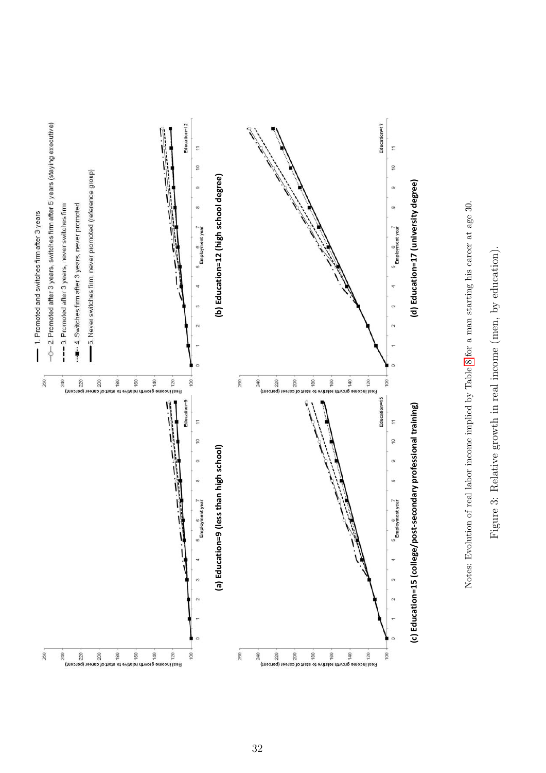<span id="page-33-0"></span>



Notes: Evolution of real labor income implied by Table 8 for a man starting his career at age 30.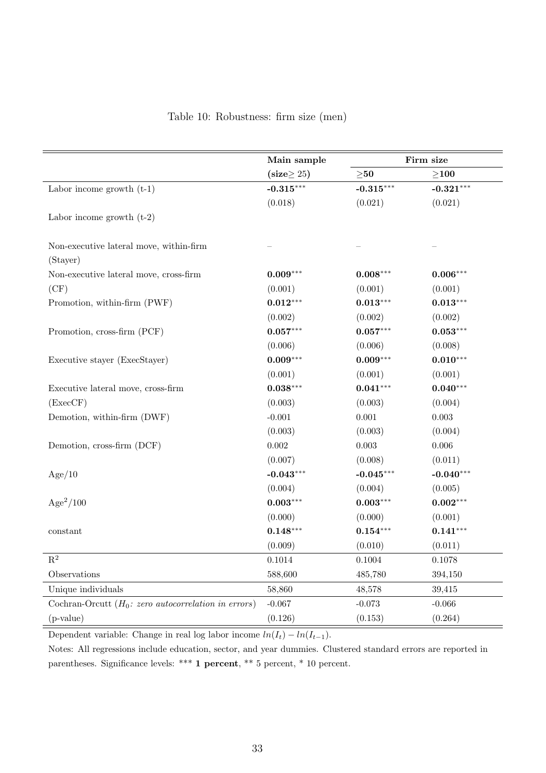<span id="page-34-0"></span>

|  | Table 10: Robustness: firm size (men) |  |  |  |  |
|--|---------------------------------------|--|--|--|--|
|--|---------------------------------------|--|--|--|--|

|                                                              | Main sample      |             | Firm size   |
|--------------------------------------------------------------|------------------|-------------|-------------|
|                                                              | $(size \geq 25)$ | $\geq 50$   | $\geq$ 100  |
| Labor income growth $(t-1)$                                  | $-0.315***$      | $-0.315***$ | $-0.321***$ |
|                                                              | (0.018)          | (0.021)     | (0.021)     |
| Labor income growth $(t-2)$                                  |                  |             |             |
| Non-executive lateral move, within-firm<br>(Stayer)          |                  |             |             |
| Non-executive lateral move, cross-firm                       | $0.009***$       | $0.008***$  | $0.006***$  |
| (CF)                                                         | (0.001)          | (0.001)     | (0.001)     |
| Promotion, within-firm (PWF)                                 | $0.012***$       | $0.013***$  | $0.013***$  |
|                                                              | (0.002)          | (0.002)     | (0.002)     |
| Promotion, cross-firm (PCF)                                  | $0.057***$       | $0.057***$  | $0.053***$  |
|                                                              | (0.006)          | (0.006)     | (0.008)     |
| Executive stayer (ExecStayer)                                | $0.009***$       | $0.009***$  | $0.010***$  |
|                                                              | (0.001)          | (0.001)     | (0.001)     |
| Executive lateral move, cross-firm                           | $0.038***$       | $0.041***$  | $0.040***$  |
| (ExecCF)                                                     | (0.003)          | (0.003)     | (0.004)     |
| Demotion, within-firm (DWF)                                  | $-0.001$         | 0.001       | $\,0.003\,$ |
|                                                              | (0.003)          | (0.003)     | (0.004)     |
| Demotion, cross-firm (DCF)                                   | 0.002            | 0.003       | 0.006       |
|                                                              | (0.007)          | (0.008)     | (0.011)     |
| Age/10                                                       | $-0.043***$      | $-0.045***$ | $-0.040***$ |
|                                                              | (0.004)          | (0.004)     | (0.005)     |
| $Age^2/100$                                                  | $0.003***$       | $0.003***$  | $0.002***$  |
|                                                              | (0.000)          | (0.000)     | (0.001)     |
| $\rm constant$                                               | $0.148***$       | $0.154***$  | $0.141***$  |
|                                                              | (0.009)          | (0.010)     | (0.011)     |
| $\mathbf{R}^2$                                               | 0.1014           | 0.1004      | 0.1078      |
| Observations                                                 | 588,600          | 485,780     | 394,150     |
| Unique individuals                                           | 58,860           | 48,578      | 39,415      |
| Cochran-Orcutt $(H_0: zero \ autocorrelation \ in \ errors)$ | $-0.067$         | $-0.073$    | $-0.066$    |
| $(p-value)$                                                  | (0.126)          | (0.153)     | (0.264)     |

Dependent variable: Change in real log labor income  $ln(I_t) - ln(I_{t-1})$ .

Notes: All regressions include education, sector, and year dummies. Clustered standard errors are reported in parentheses. Significance levels: \*\*\* 1 percent, \*\* 5 percent, \* 10 percent.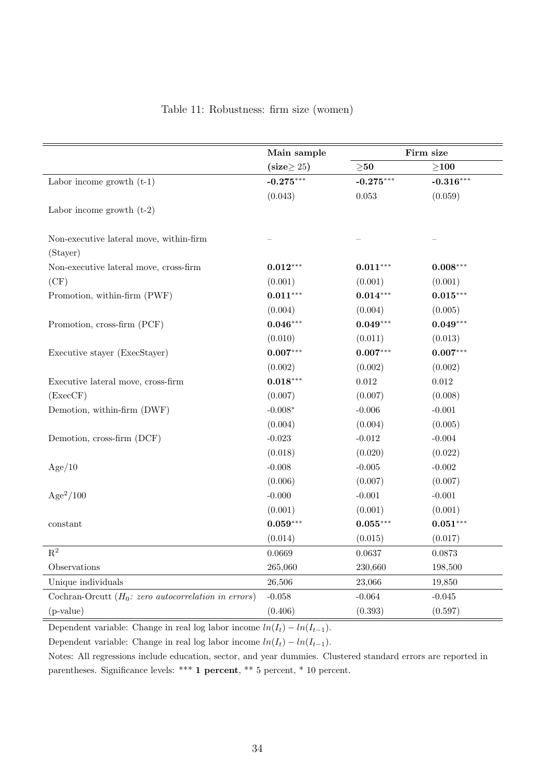|                                                              | Main sample      |             | Firm size   |
|--------------------------------------------------------------|------------------|-------------|-------------|
|                                                              | $(size \geq 25)$ | $\geq 50$   | $\geq$ 100  |
| Labor income growth $(t-1)$                                  | $-0.275***$      | $-0.275***$ | $-0.316***$ |
|                                                              | (0.043)          | 0.053       | (0.059)     |
| Labor income growth $(t-2)$                                  |                  |             |             |
| Non-executive lateral move, within-firm                      |                  |             |             |
| (Stayer)                                                     |                  |             |             |
| Non-executive lateral move, cross-firm                       | $0.012***$       | $0.011***$  | $0.008***$  |
| (CF)                                                         | (0.001)          | (0.001)     | (0.001)     |
| Promotion, within-firm (PWF)                                 | $0.011***$       | $0.014***$  | $0.015***$  |
|                                                              | (0.004)          | (0.004)     | (0.005)     |
| Promotion, cross-firm (PCF)                                  | $0.046***$       | $0.049***$  | $0.049***$  |
|                                                              | (0.010)          | (0.011)     | (0.013)     |
| Executive stayer (ExecStayer)                                | $0.007***$       | $0.007***$  | $0.007***$  |
|                                                              | (0.002)          | (0.002)     | (0.002)     |
| Executive lateral move, cross-firm                           | $0.018***$       | $0.012\,$   | $0.012\,$   |
| (ExecCF)                                                     | (0.007)          | (0.007)     | (0.008)     |
| Demotion, within-firm (DWF)                                  | $-0.008*$        | $-0.006$    | $-0.001$    |
|                                                              | (0.004)          | (0.004)     | (0.005)     |
| Demotion, cross-firm (DCF)                                   | $-0.023$         | $-0.012$    | $-0.004$    |
|                                                              | (0.018)          | (0.020)     | (0.022)     |
| Age/10                                                       | $-0.008$         | $-0.005$    | $-0.002$    |
|                                                              | (0.006)          | (0.007)     | (0.007)     |
| $Age^2/100$                                                  | $-0.000$         | $-0.001$    | $-0.001$    |
|                                                              | (0.001)          | (0.001)     | (0.001)     |
| constant                                                     | $0.059***$       | $0.055***$  | $0.051***$  |
|                                                              | (0.014)          | (0.015)     | (0.017)     |
| $\mathbf{R}^2$                                               | 0.0669           | 0.0637      | 0.0873      |
| Observations                                                 | 265,060          | 230,660     | 198,500     |
| Unique individuals                                           | 26,506           | 23,066      | 19,850      |
| Cochran-Orcutt $(H_0: zero \ autocorrelation \ in \ errors)$ | $-0.058$         | $-0.064$    | $-0.045$    |
| (p-value)                                                    | (0.406)          | (0.393)     | (0.597)     |

<span id="page-35-0"></span>

|  | Table 11: Robustness: firm size (women) |  |  |  |  |
|--|-----------------------------------------|--|--|--|--|
|--|-----------------------------------------|--|--|--|--|

Dependent variable: Change in real log labor income  $ln(I_t) - ln(I_{t-1})$ .

Dependent variable: Change in real log labor income  $ln(I_t) - ln(I_{t-1})$ .

Notes: All regressions include education, sector, and year dummies. Clustered standard errors are reported in parentheses. Significance levels: \*\*\* 1 percent, \*\* 5 percent, \* 10 percent.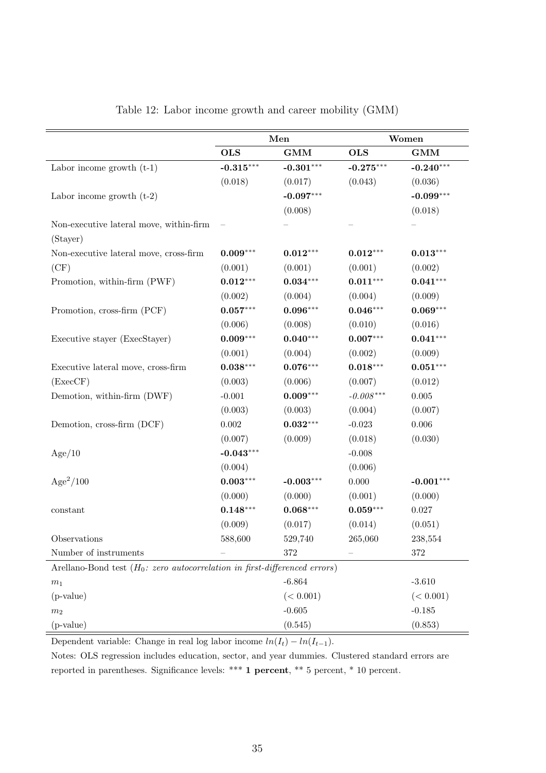|                                                                                      | Men         |                        | Women       |             |  |
|--------------------------------------------------------------------------------------|-------------|------------------------|-------------|-------------|--|
|                                                                                      | <b>OLS</b>  | GMM                    | <b>OLS</b>  | GMM         |  |
| Labor income growth $(t-1)$                                                          | $-0.315***$ | $-0.301***$            | $-0.275***$ | $-0.240***$ |  |
|                                                                                      | (0.018)     | (0.017)                | (0.043)     | (0.036)     |  |
| Labor income growth $(t-2)$                                                          |             | $-0.097***$            |             | $-0.099***$ |  |
|                                                                                      |             | (0.008)                |             | (0.018)     |  |
| Non-executive lateral move, within-firm                                              |             |                        |             |             |  |
| (Stayer)                                                                             |             |                        |             |             |  |
| Non-executive lateral move, cross-firm                                               | $0.009***$  | $0.012***$             | $0.012***$  | $0.013***$  |  |
| (CF)                                                                                 | (0.001)     | (0.001)                | (0.001)     | (0.002)     |  |
| Promotion, within-firm (PWF)                                                         | $0.012***$  | $0.034***$             | $0.011***$  | $0.041***$  |  |
|                                                                                      | (0.002)     | (0.004)                | (0.004)     | (0.009)     |  |
| Promotion, cross-firm (PCF)                                                          | $0.057***$  | $0.096***$             | $0.046***$  | $0.069***$  |  |
|                                                                                      | (0.006)     | (0.008)                | (0.010)     | (0.016)     |  |
| Executive stayer (ExecStayer)                                                        | $0.009***$  | $0.040***$             | $0.007***$  | $0.041***$  |  |
|                                                                                      | (0.001)     | (0.004)                | (0.002)     | (0.009)     |  |
| Executive lateral move, cross-firm                                                   | $0.038***$  | $0.076***$             | $0.018***$  | $0.051***$  |  |
| (ExecCF)                                                                             | (0.003)     | (0.006)                | (0.007)     | (0.012)     |  |
| Demotion, within-firm (DWF)                                                          | $-0.001$    | $0.009***$             | $-0.008***$ | $0.005\,$   |  |
|                                                                                      | (0.003)     | (0.003)                | (0.004)     | (0.007)     |  |
| Demotion, cross-firm (DCF)                                                           | $0.002\,$   | $\mathbf{0.032}^{***}$ | $-0.023$    | $0.006\,$   |  |
|                                                                                      | (0.007)     | (0.009)                | (0.018)     | (0.030)     |  |
| Age/10                                                                               | $-0.043***$ |                        | $-0.008$    |             |  |
|                                                                                      | (0.004)     |                        | (0.006)     |             |  |
| $Age^2/100$                                                                          | $0.003***$  | $-0.003***$            | $0.000\,$   | $-0.001***$ |  |
|                                                                                      | (0.000)     | (0.000)                | (0.001)     | (0.000)     |  |
| constant                                                                             | $0.148***$  | $0.068***$             | $0.059***$  | 0.027       |  |
|                                                                                      | (0.009)     | (0.017)                | (0.014)     | (0.051)     |  |
| Observations                                                                         | 588,600     | 529,740                | 265,060     | 238,554     |  |
| Number of instruments                                                                |             | 372                    |             | $372\,$     |  |
| Arellano-Bond test $(H_0: zero \ autocorrelation \ in \ first\-difference \ errors)$ |             |                        |             |             |  |
| m <sub>1</sub>                                                                       |             | $-6.864$               |             | $-3.610$    |  |
| $(p-value)$                                                                          |             | (< 0.001)              |             | (< 0.001)   |  |
| m <sub>2</sub>                                                                       |             | $-0.605$               |             | $-0.185$    |  |
| (p-value)                                                                            |             | (0.545)                |             | (0.853)     |  |

### <span id="page-36-0"></span>Table 12: Labor income growth and career mobility (GMM)

Dependent variable: Change in real log labor income  $ln(I_t) - ln(I_{t-1})$ .

Notes: OLS regression includes education, sector, and year dummies. Clustered standard errors are reported in parentheses. Significance levels: \*\*\* 1 percent, \*\* 5 percent, \* 10 percent.